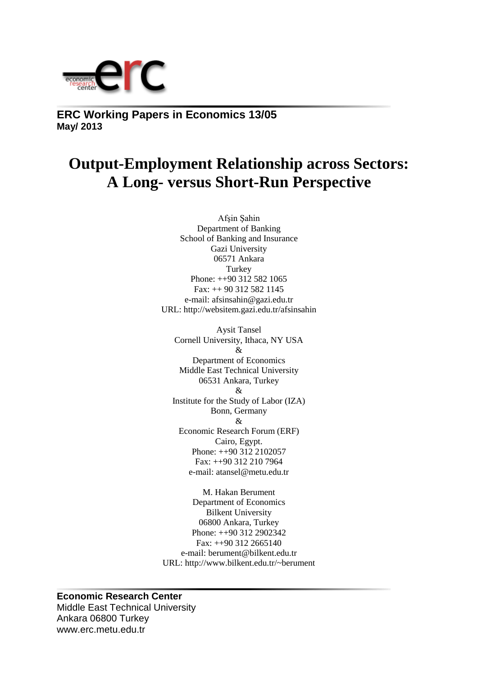

**ERC Working Papers in Economics 13/05 May/ 2013**

# **Output-Employment Relationship across Sectors: A Long- versus Short-Run Perspective**

Afşin Şahin Department of Banking School of Banking and Insurance Gazi University 06571 Ankara **Turkey** Phone: ++90 312 582 1065 Fax: ++ 90 312 582 1145 e-mail: afsinsahin@gazi.edu.tr URL: http://websitem.gazi.edu.tr/afsinsahin

Aysit Tansel Cornell University, Ithaca, NY USA & Department of Economics Middle East Technical University 06531 Ankara, Turkey  $\mathcal{R}$ Institute for the Study of Labor (IZA) Bonn, Germany & Economic Research Forum (ERF) Cairo, Egypt. Phone: ++90 312 2102057 Fax: ++90 312 210 7964 e-mail: atansel@metu.edu.tr

M. Hakan Berument Department of Economics Bilkent University 06800 Ankara, Turkey Phone: ++90 312 2902342  $Fax: ++90 312 2665140$ e-mail: berument@bilkent.edu.tr URL: http://www.bilkent.edu.tr/~berument

## **Economic Research Center**

Middle East Technical University Ankara 06800 Turkey www.erc.metu.edu.tr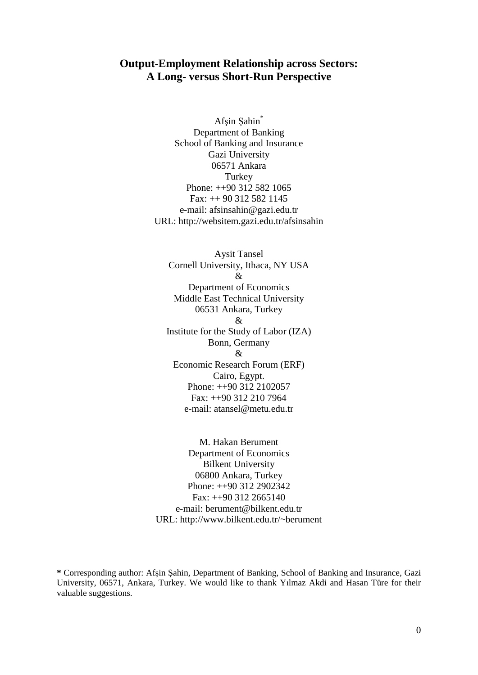# **Output-Employment Relationship across Sectors: A Long- versus Short-Run Perspective**

Afşin Şahin\* Department of Banking School of Banking and Insurance Gazi University 06571 Ankara **Turkey** Phone: ++90 312 582 1065 Fax: ++ 90 312 582 1145 e-mail: afsinsahin@gazi.edu.tr URL: http://websitem.gazi.edu.tr/afsinsahin

Aysit Tansel Cornell University, Ithaca, NY USA & Department of Economics Middle East Technical University 06531 Ankara, Turkey & Institute for the Study of Labor (IZA) Bonn, Germany & Economic Research Forum (ERF) Cairo, Egypt. Phone: ++90 312 2102057 Fax: ++90 312 210 7964 e-mail: atansel@metu.edu.tr

M. Hakan Berument Department of Economics Bilkent University 06800 Ankara, Turkey Phone: ++90 312 2902342  $Fax: ++90$  312 2665140 e-mail: berument@bilkent.edu.tr URL: http://www.bilkent.edu.tr/~berument

**<sup>\*</sup>** Corresponding author: Afşin Şahin, Department of Banking, School of Banking and Insurance, Gazi University, 06571, Ankara, Turkey. We would like to thank Yılmaz Akdi and Hasan Türe for their valuable suggestions.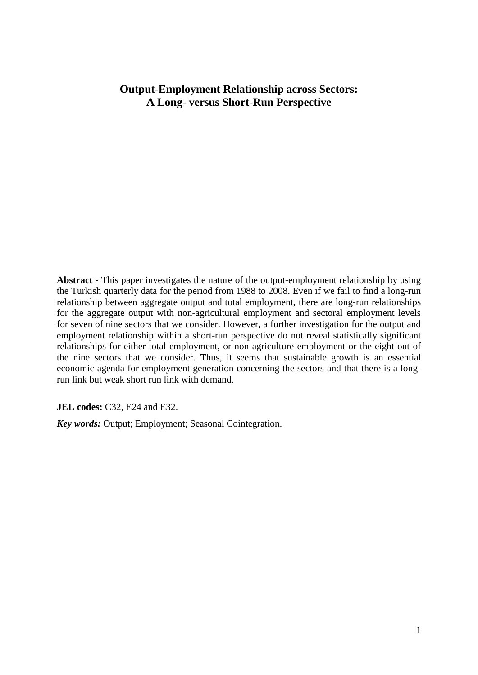# **Output-Employment Relationship across Sectors: A Long- versus Short-Run Perspective**

**Abstract -** This paper investigates the nature of the output-employment relationship by using the Turkish quarterly data for the period from 1988 to 2008. Even if we fail to find a long-run relationship between aggregate output and total employment, there are long-run relationships for the aggregate output with non-agricultural employment and sectoral employment levels for seven of nine sectors that we consider. However, a further investigation for the output and employment relationship within a short-run perspective do not reveal statistically significant relationships for either total employment, or non-agriculture employment or the eight out of the nine sectors that we consider. Thus, it seems that sustainable growth is an essential economic agenda for employment generation concerning the sectors and that there is a longrun link but weak short run link with demand.

**JEL codes:** C32, E24 and E32.

*Key words:* Output; Employment; Seasonal Cointegration.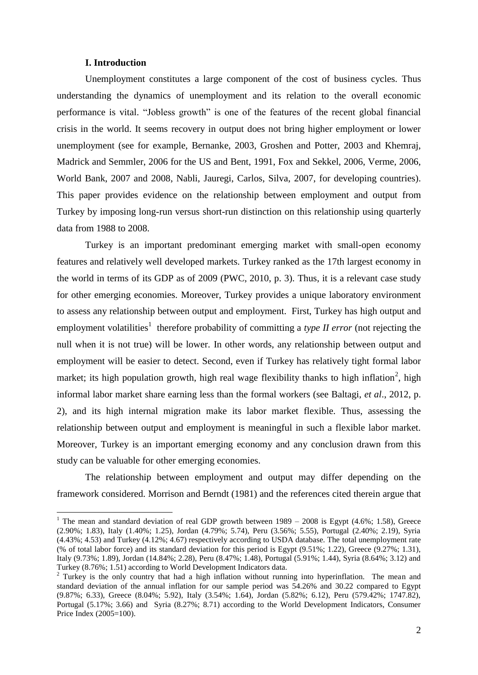## **I. Introduction**

1

Unemployment constitutes a large component of the cost of business cycles. Thus understanding the dynamics of unemployment and its relation to the overall economic performance is vital. "Jobless growth" is one of the features of the recent global financial crisis in the world. It seems recovery in output does not bring higher employment or lower unemployment (see for example, Bernanke, 2003, Groshen and Potter, 2003 and Khemraj, Madrick and Semmler, 2006 for the US and Bent, 1991, Fox and Sekkel, 2006, Verme, 2006, World Bank, 2007 and 2008, Nabli, Jauregi, Carlos, Silva, 2007, for developing countries). This paper provides evidence on the relationship between employment and output from Turkey by imposing long-run versus short-run distinction on this relationship using quarterly data from 1988 to 2008.

Turkey is an important predominant emerging market with small-open economy features and relatively well developed markets. Turkey ranked as the 17th largest economy in the world in terms of its GDP as of 2009 (PWC, 2010, p. 3). Thus, it is a relevant case study for other emerging economies. Moreover, Turkey provides a unique laboratory environment to assess any relationship between output and employment. First, Turkey has high output and employment volatilities<sup>1</sup> therefore probability of committing a *type II error* (not rejecting the null when it is not true) will be lower. In other words, any relationship between output and employment will be easier to detect. Second, even if Turkey has relatively tight formal labor market; its high population growth, high real wage flexibility thanks to high inflation<sup>2</sup>, high informal labor market share earning less than the formal workers (see Baltagi, *et al*., 2012, p. 2), and its high internal migration make its labor market flexible. Thus, assessing the relationship between output and employment is meaningful in such a flexible labor market. Moreover, Turkey is an important emerging economy and any conclusion drawn from this study can be valuable for other emerging economies.

The relationship between employment and output may differ depending on the framework considered. Morrison and Berndt (1981) and the references cited therein argue that

<sup>&</sup>lt;sup>1</sup> The mean and standard deviation of real GDP growth between  $1989 - 2008$  is Egypt (4.6%; 1.58), Greece (2.90%; 1.83), Italy (1.40%; 1.25), Jordan (4.79%; 5.74), Peru (3.56%; 5.55), Portugal (2.40%; 2.19), Syria (4.43%; 4.53) and Turkey (4.12%; 4.67) respectively according to USDA database. The total unemployment rate (% of total labor force) and its standard deviation for this period is Egypt (9.51%; 1.22), Greece (9.27%; 1.31), Italy (9.73%; 1.89), Jordan (14.84%; 2.28), Peru (8.47%; 1.48), Portugal (5.91%; 1.44), Syria (8.64%; 3.12) and Turkey (8.76%; 1.51) according to World Development Indicators data.

<sup>&</sup>lt;sup>2</sup> Turkey is the only country that had a high inflation without running into hyperinflation. The mean and standard deviation of the annual inflation for our sample period was 54.26% and 30.22 compared to Egypt (9.87%; 6.33), Greece (8.04%; 5.92), Italy (3.54%; 1.64), Jordan (5.82%; 6.12), Peru (579.42%; 1747.82), Portugal (5.17%; 3.66) and Syria (8.27%; 8.71) according to the World Development Indicators, Consumer Price Index (2005=100).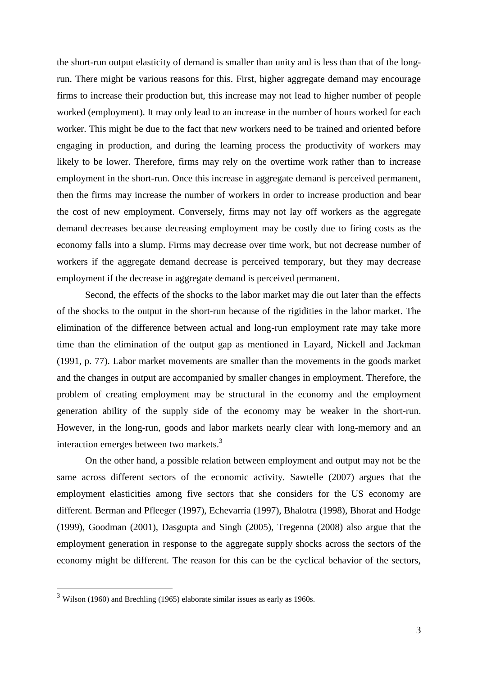the short-run output elasticity of demand is smaller than unity and is less than that of the longrun. There might be various reasons for this. First, higher aggregate demand may encourage firms to increase their production but, this increase may not lead to higher number of people worked (employment). It may only lead to an increase in the number of hours worked for each worker. This might be due to the fact that new workers need to be trained and oriented before engaging in production, and during the learning process the productivity of workers may likely to be lower. Therefore, firms may rely on the overtime work rather than to increase employment in the short-run. Once this increase in aggregate demand is perceived permanent, then the firms may increase the number of workers in order to increase production and bear the cost of new employment. Conversely, firms may not lay off workers as the aggregate demand decreases because decreasing employment may be costly due to firing costs as the economy falls into a slump. Firms may decrease over time work, but not decrease number of workers if the aggregate demand decrease is perceived temporary, but they may decrease employment if the decrease in aggregate demand is perceived permanent.

Second, the effects of the shocks to the labor market may die out later than the effects of the shocks to the output in the short-run because of the rigidities in the labor market. The elimination of the difference between actual and long-run employment rate may take more time than the elimination of the output gap as mentioned in Layard, Nickell and Jackman (1991, p. 77). Labor market movements are smaller than the movements in the goods market and the changes in output are accompanied by smaller changes in employment. Therefore, the problem of creating employment may be structural in the economy and the employment generation ability of the supply side of the economy may be weaker in the short-run. However, in the long-run, goods and labor markets nearly clear with long-memory and an interaction emerges between two markets.<sup>3</sup>

On the other hand, a possible relation between employment and output may not be the same across different sectors of the economic activity. Sawtelle (2007) argues that the employment elasticities among five sectors that she considers for the US economy are different. Berman and Pfleeger (1997), Echevarria (1997), Bhalotra (1998), Bhorat and Hodge (1999), Goodman (2001), Dasgupta and Singh (2005), Tregenna (2008) also argue that the employment generation in response to the aggregate supply shocks across the sectors of the economy might be different. The reason for this can be the cyclical behavior of the sectors,

1

 $3$  Wilson (1960) and Brechling (1965) elaborate similar issues as early as 1960s.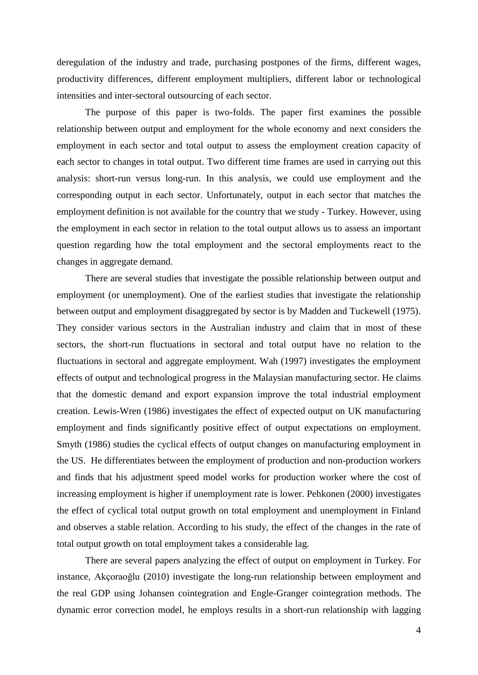deregulation of the industry and trade, purchasing postpones of the firms, different wages, productivity differences, different employment multipliers, different labor or technological intensities and inter-sectoral outsourcing of each sector.

The purpose of this paper is two-folds. The paper first examines the possible relationship between output and employment for the whole economy and next considers the employment in each sector and total output to assess the employment creation capacity of each sector to changes in total output. Two different time frames are used in carrying out this analysis: short-run versus long-run. In this analysis, we could use employment and the corresponding output in each sector. Unfortunately, output in each sector that matches the employment definition is not available for the country that we study - Turkey. However, using the employment in each sector in relation to the total output allows us to assess an important question regarding how the total employment and the sectoral employments react to the changes in aggregate demand.

There are several studies that investigate the possible relationship between output and employment (or unemployment). One of the earliest studies that investigate the relationship between output and employment disaggregated by sector is by Madden and Tuckewell (1975). They consider various sectors in the Australian industry and claim that in most of these sectors, the short-run fluctuations in sectoral and total output have no relation to the fluctuations in sectoral and aggregate employment. Wah (1997) investigates the employment effects of output and technological progress in the Malaysian manufacturing sector. He claims that the domestic demand and export expansion improve the total industrial employment creation. Lewis-Wren (1986) investigates the effect of expected output on UK manufacturing employment and finds significantly positive effect of output expectations on employment. Smyth (1986) studies the cyclical effects of output changes on manufacturing employment in the US. He differentiates between the employment of production and non-production workers and finds that his adjustment speed model works for production worker where the cost of increasing employment is higher if unemployment rate is lower. Pehkonen (2000) investigates the effect of cyclical total output growth on total employment and unemployment in Finland and observes a stable relation. According to his study, the effect of the changes in the rate of total output growth on total employment takes a considerable lag.

There are several papers analyzing the effect of output on employment in Turkey. For instance, Akçoraoğlu (2010) investigate the long-run relationship between employment and the real GDP using Johansen cointegration and Engle-Granger cointegration methods. The dynamic error correction model, he employs results in a short-run relationship with lagging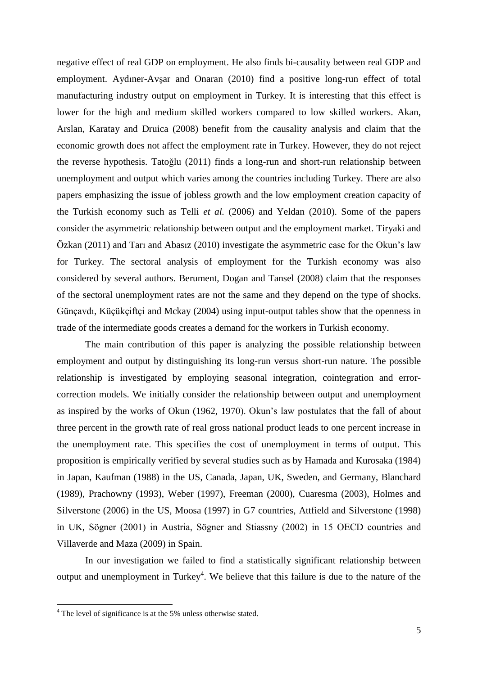negative effect of real GDP on employment. He also finds bi-causality between real GDP and employment. Aydıner-Avşar and Onaran (2010) find a positive long-run effect of total manufacturing industry output on employment in Turkey. It is interesting that this effect is lower for the high and medium skilled workers compared to low skilled workers. Akan, Arslan, Karatay and Druica (2008) benefit from the causality analysis and claim that the economic growth does not affect the employment rate in Turkey. However, they do not reject the reverse hypothesis. Tatoğlu (2011) finds a long-run and short-run relationship between unemployment and output which varies among the countries including Turkey. There are also papers emphasizing the issue of jobless growth and the low employment creation capacity of the Turkish economy such as Telli *et al.* (2006) and Yeldan (2010). Some of the papers consider the asymmetric relationship between output and the employment market. Tiryaki and Özkan (2011) and Tarı and Abasız (2010) investigate the asymmetric case for the Okun's law for Turkey. The sectoral analysis of employment for the Turkish economy was also considered by several authors. Berument, Dogan and Tansel (2008) claim that the responses of the sectoral unemployment rates are not the same and they depend on the type of shocks. Günçavdı, Küçükçiftçi and Mckay (2004) using input-output tables show that the openness in trade of the intermediate goods creates a demand for the workers in Turkish economy.

The main contribution of this paper is analyzing the possible relationship between employment and output by distinguishing its long-run versus short-run nature. The possible relationship is investigated by employing seasonal integration, cointegration and errorcorrection models. We initially consider the relationship between output and unemployment as inspired by the works of Okun (1962, 1970). Okun's law postulates that the fall of about three percent in the growth rate of real gross national product leads to one percent increase in the unemployment rate. This specifies the cost of unemployment in terms of output. This proposition is empirically verified by several studies such as by Hamada and Kurosaka (1984) in Japan, Kaufman (1988) in the US, Canada, Japan, UK, Sweden, and Germany, Blanchard (1989), Prachowny (1993), Weber (1997), Freeman (2000), Cuaresma (2003), Holmes and Silverstone (2006) in the US, Moosa (1997) in G7 countries, Attfield and Silverstone (1998) in UK, Sögner (2001) in Austria, Sögner and Stiassny (2002) in 15 OECD countries and Villaverde and Maza (2009) in Spain.

In our investigation we failed to find a statistically significant relationship between output and unemployment in Turkey<sup>4</sup>. We believe that this failure is due to the nature of the

1

<sup>&</sup>lt;sup>4</sup> The level of significance is at the 5% unless otherwise stated.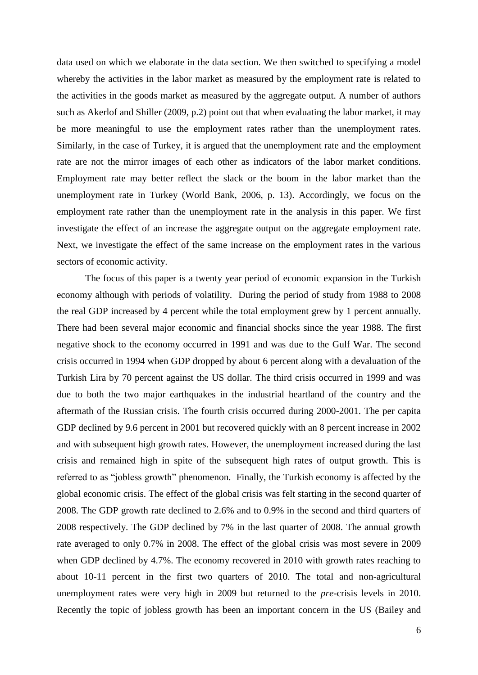data used on which we elaborate in the data section. We then switched to specifying a model whereby the activities in the labor market as measured by the employment rate is related to the activities in the goods market as measured by the aggregate output. A number of authors such as Akerlof and Shiller (2009, p.2) point out that when evaluating the labor market, it may be more meaningful to use the employment rates rather than the unemployment rates. Similarly, in the case of Turkey, it is argued that the unemployment rate and the employment rate are not the mirror images of each other as indicators of the labor market conditions. Employment rate may better reflect the slack or the boom in the labor market than the unemployment rate in Turkey (World Bank, 2006, p. 13). Accordingly, we focus on the employment rate rather than the unemployment rate in the analysis in this paper. We first investigate the effect of an increase the aggregate output on the aggregate employment rate. Next, we investigate the effect of the same increase on the employment rates in the various sectors of economic activity.

The focus of this paper is a twenty year period of economic expansion in the Turkish economy although with periods of volatility. During the period of study from 1988 to 2008 the real GDP increased by 4 percent while the total employment grew by 1 percent annually. There had been several major economic and financial shocks since the year 1988. The first negative shock to the economy occurred in 1991 and was due to the Gulf War. The second crisis occurred in 1994 when GDP dropped by about 6 percent along with a devaluation of the Turkish Lira by 70 percent against the US dollar. The third crisis occurred in 1999 and was due to both the two major earthquakes in the industrial heartland of the country and the aftermath of the Russian crisis. The fourth crisis occurred during 2000-2001. The per capita GDP declined by 9.6 percent in 2001 but recovered quickly with an 8 percent increase in 2002 and with subsequent high growth rates. However, the unemployment increased during the last crisis and remained high in spite of the subsequent high rates of output growth. This is referred to as "jobless growth" phenomenon. Finally, the Turkish economy is affected by the global economic crisis. The effect of the global crisis was felt starting in the second quarter of 2008. The GDP growth rate declined to 2.6% and to 0.9% in the second and third quarters of 2008 respectively. The GDP declined by 7% in the last quarter of 2008. The annual growth rate averaged to only 0.7% in 2008. The effect of the global crisis was most severe in 2009 when GDP declined by 4.7%. The economy recovered in 2010 with growth rates reaching to about 10-11 percent in the first two quarters of 2010. The total and non-agricultural unemployment rates were very high in 2009 but returned to the *pre*-crisis levels in 2010. Recently the topic of jobless growth has been an important concern in the US (Bailey and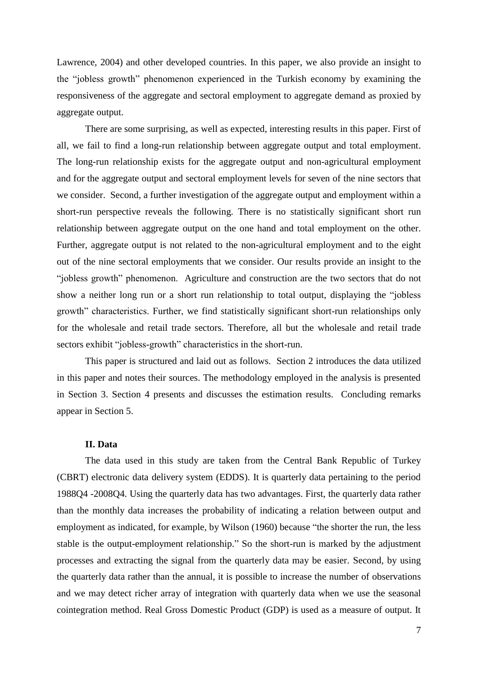Lawrence, 2004) and other developed countries. In this paper, we also provide an insight to the "jobless growth" phenomenon experienced in the Turkish economy by examining the responsiveness of the aggregate and sectoral employment to aggregate demand as proxied by aggregate output.

There are some surprising, as well as expected, interesting results in this paper. First of all, we fail to find a long-run relationship between aggregate output and total employment. The long-run relationship exists for the aggregate output and non-agricultural employment and for the aggregate output and sectoral employment levels for seven of the nine sectors that we consider. Second, a further investigation of the aggregate output and employment within a short-run perspective reveals the following. There is no statistically significant short run relationship between aggregate output on the one hand and total employment on the other. Further, aggregate output is not related to the non-agricultural employment and to the eight out of the nine sectoral employments that we consider. Our results provide an insight to the "jobless growth" phenomenon. Agriculture and construction are the two sectors that do not show a neither long run or a short run relationship to total output, displaying the "jobless growth" characteristics. Further, we find statistically significant short-run relationships only for the wholesale and retail trade sectors. Therefore, all but the wholesale and retail trade sectors exhibit "jobless-growth" characteristics in the short-run.

This paper is structured and laid out as follows. Section 2 introduces the data utilized in this paper and notes their sources. The methodology employed in the analysis is presented in Section 3. Section 4 presents and discusses the estimation results. Concluding remarks appear in Section 5.

## **II. Data**

The data used in this study are taken from the Central Bank Republic of Turkey (CBRT) electronic data delivery system (EDDS). It is quarterly data pertaining to the period 1988Q4 -2008Q4. Using the quarterly data has two advantages. First, the quarterly data rather than the monthly data increases the probability of indicating a relation between output and employment as indicated, for example, by Wilson (1960) because "the shorter the run, the less stable is the output-employment relationship." So the short-run is marked by the adjustment processes and extracting the signal from the quarterly data may be easier. Second, by using the quarterly data rather than the annual, it is possible to increase the number of observations and we may detect richer array of integration with quarterly data when we use the seasonal cointegration method. Real Gross Domestic Product (GDP) is used as a measure of output. It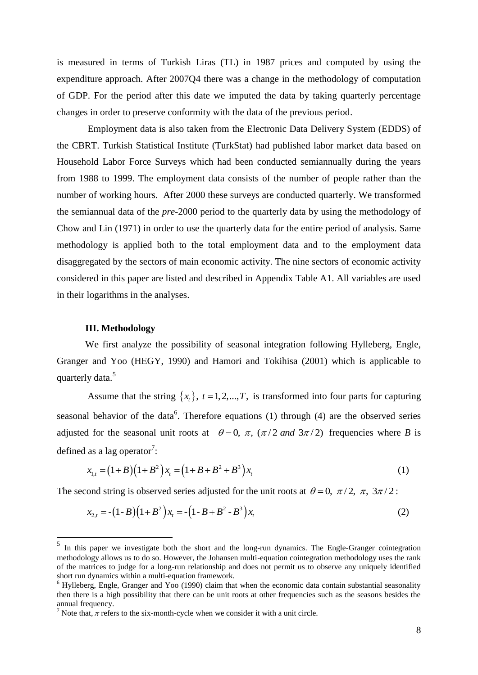is measured in terms of Turkish Liras (TL) in 1987 prices and computed by using the expenditure approach. After 2007Q4 there was a change in the methodology of computation of GDP. For the period after this date we imputed the data by taking quarterly percentage changes in order to preserve conformity with the data of the previous period.

Employment data is also taken from the Electronic Data Delivery System (EDDS) of the CBRT. Turkish Statistical Institute (TurkStat) had published labor market data based on Household Labor Force Surveys which had been conducted semiannually during the years from 1988 to 1999. The employment data consists of the number of people rather than the number of working hours. After 2000 these surveys are conducted quarterly. We transformed the semiannual data of the *pre-*2000 period to the quarterly data by using the methodology of Chow and Lin (1971) in order to use the quarterly data for the entire period of analysis. Same methodology is applied both to the total employment data and to the employment data disaggregated by the sectors of main economic activity. The nine sectors of economic activity considered in this paper are listed and described in Appendix Table A1. All variables are used in their logarithms in the analyses.

## **III. Methodology**

1

We first analyze the possibility of seasonal integration following Hylleberg, Engle, Granger and Yoo (HEGY, 1990) and Hamori and Tokihisa (2001) which is applicable to quarterly data.<sup>5</sup>

Assume that the string  $\{x_t\}$ ,  $t = 1, 2, ..., T$ , is transformed into four parts for capturing seasonal behavior of the data<sup>6</sup>. Therefore equations  $(1)$  through  $(4)$  are the observed series adjusted for the seasonal unit roots at  $\theta = 0$ ,  $\pi$ ,  $(\pi/2$  and  $3\pi/2)$  frequencies where *B* is defined as a lag operator<sup>7</sup>:

$$
x_{1,t} = (1+B)(1+B^2)x_t = (1+B+B^2+B^3)x_t
$$
\n(1)

The second string is observed series adjusted for the unit roots at  $\theta = 0$ ,  $\pi/2$ ,  $\pi$ ,  $3\pi/2$ :

$$
x_{2,t} = -(1 - B)(1 + B^2) x_t = -(1 - B + B^2 - B^3) x_t
$$
 (2)

<sup>&</sup>lt;sup>5</sup> In this paper we investigate both the short and the long-run dynamics. The Engle-Granger cointegration methodology allows us to do so. However, the Johansen multi-equation cointegration methodology uses the rank of the matrices to judge for a long-run relationship and does not permit us to observe any uniquely identified short run dynamics within a multi-equation framework.

 $6$  Hylleberg, Engle, Granger and Yoo (1990) claim that when the economic data contain substantial seasonality then there is a high possibility that there can be unit roots at other frequencies such as the seasons besides the annual frequency.

<sup>&</sup>lt;sup>7</sup> Note that,  $\pi$  refers to the six-month-cycle when we consider it with a unit circle.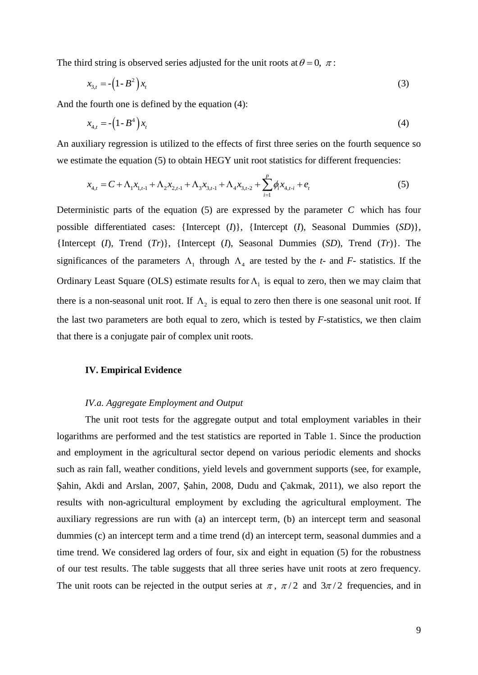The third string is observed series adjusted for the unit roots at  $\theta = 0, \pi$ :

$$
x_{3,t} = -\left(1 - B^2\right)x_t\tag{3}
$$

And the fourth one is defined by the equation (4):

$$
x_{4,t} = -\left(1 - B^4\right)x_t\tag{4}
$$

An auxiliary regression is utilized to the effects of first three series on the fourth sequence so we estimate the equation (5) to obtain HEGY unit root statistics for different frequencies:

$$
x_{4,t} = C + \Lambda_1 x_{1,t-1} + \Lambda_2 x_{2,t-1} + \Lambda_3 x_{3,t-1} + \Lambda_4 x_{3,t-2} + \sum_{i=1}^{p} \phi_i x_{4,t-i} + e_t
$$
 (5)

Deterministic parts of the equation  $(5)$  are expressed by the parameter  $C$  which has four possible differentiated cases: {Intercept (*I*)}, {Intercept (*I*), Seasonal Dummies (*SD*)}, {Intercept (*I*), Trend (*Tr*)}, {Intercept (*I*), Seasonal Dummies (*SD*), Trend (*Tr*)}. The significances of the parameters  $\Lambda_1$  through  $\Lambda_4$  are tested by the *t*- and *F*- statistics. If the Ordinary Least Square (OLS) estimate results for  $\Lambda$ <sub>1</sub> is equal to zero, then we may claim that there is a non-seasonal unit root. If  $\Lambda_2$  is equal to zero then there is one seasonal unit root. If the last two parameters are both equal to zero, which is tested by *F*-statistics, we then claim that there is a conjugate pair of complex unit roots.

#### **IV. Empirical Evidence**

## *IV.a. Aggregate Employment and Output*

The unit root tests for the aggregate output and total employment variables in their logarithms are performed and the test statistics are reported in Table 1. Since the production and employment in the agricultural sector depend on various periodic elements and shocks such as rain fall, weather conditions, yield levels and government supports (see, for example, Şahin, Akdi and Arslan, 2007, Şahin, 2008, Dudu and Çakmak, 2011), we also report the results with non-agricultural employment by excluding the agricultural employment. The auxiliary regressions are run with (a) an intercept term, (b) an intercept term and seasonal dummies (c) an intercept term and a time trend (d) an intercept term, seasonal dummies and a time trend. We considered lag orders of four, six and eight in equation (5) for the robustness of our test results. The table suggests that all three series have unit roots at zero frequency. The unit roots can be rejected in the output series at  $\pi$ ,  $\pi/2$  and  $3\pi/2$  frequencies, and in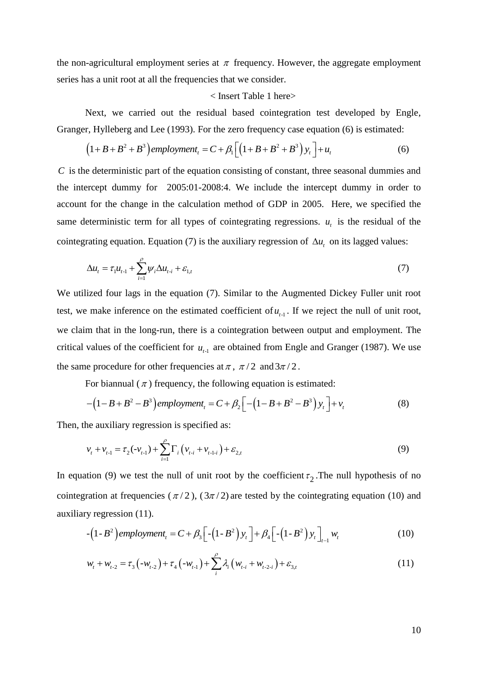the non-agricultural employment series at  $\pi$  frequency. However, the aggregate employment series has a unit root at all the frequencies that we consider.

## < Insert Table 1 here>

Next, we carried out the residual based cointegration test developed by Engle, Granger, Hylleberg and Lee (1993). For the zero frequency case equation (6) is estimated:

$$
(1+B+B^2+B^3) \text{ employment}_t = C + \beta_1 \left[ \left( 1+B+B^2+B^3 \right) y_t \right] + u_t \tag{6}
$$

*C* is the deterministic part of the equation consisting of constant, three seasonal dummies and the intercept dummy for 2005:01-2008:4. We include the intercept dummy in order to account for the change in the calculation method of GDP in 2005. Here, we specified the same deterministic term for all types of cointegrating regressions.  $u_t$  is the residual of the cointegrating equation. Equation (7) is the auxiliary regression of  $\Delta u_t$  on its lagged values:

$$
\Delta u_t = \tau_1 u_{t-1} + \sum_{i=1}^{\rho} \psi_i \Delta u_{t-i} + \varepsilon_{1,t} \tag{7}
$$

We utilized four lags in the equation (7). Similar to the Augmented Dickey Fuller unit root test, we make inference on the estimated coefficient of  $u_{t-1}$ . If we reject the null of unit root, we claim that in the long-run, there is a cointegration between output and employment. The critical values of the coefficient for  $u_{t-1}$  are obtained from Engle and Granger (1987). We use the same procedure for other frequencies at  $\pi$ ,  $\pi/2$  and  $3\pi/2$ .

For biannual  $(\pi)$  frequency, the following equation is estimated:

$$
-\left(1-B+B^2-B^3\right)\text{emptyment}_t = C + \beta_2 \left[-\left(1-B+B^2-B^3\right)y_t\right] + v_t \tag{8}
$$

Then, the auxiliary regression is specified as:

$$
v_{t} + v_{t-1} = \tau_{2}(-v_{t-1}) + \sum_{i=1}^{p} \Gamma_{i} \left( v_{t-i} + v_{t-1-i} \right) + \varepsilon_{2,t}
$$
\n(9)

In equation (9) we test the null of unit root by the coefficient  $\tau_2$ . The null hypothesis of no cointegration at frequencies ( $\pi/2$ ), ( $3\pi/2$ ) are tested by the cointegrating equation (10) and auxiliary regression (11).

$$
-\left(1-B^2\right)\text{emptyment}_t = C + \beta_3 \left[-\left(1-B^2\right)y_t\right] + \beta_4 \left[-\left(1-B^2\right)y_t\right]_{t=1} w_t \tag{10}
$$

$$
w_{t} + w_{t-2} = \tau_{3}(-w_{t-2}) + \tau_{4}(-w_{t-1}) + \sum_{i}^{\rho} \lambda_{i} \left(w_{t-i} + w_{t-2-i}\right) + \varepsilon_{3,t}
$$
\n(11)

10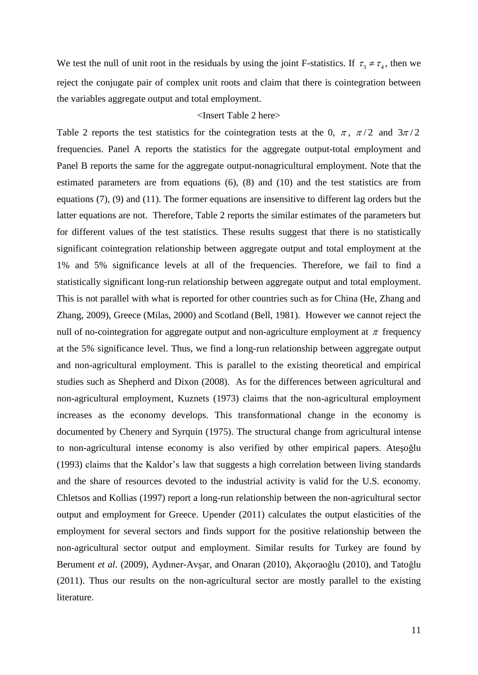We test the null of unit root in the residuals by using the joint F-statistics. If  $\tau_3 \neq \tau_4$ , then we reject the conjugate pair of complex unit roots and claim that there is cointegration between the variables aggregate output and total employment.

## <Insert Table 2 here>

Table 2 reports the test statistics for the cointegration tests at the 0,  $\pi$ ,  $\pi/2$  and  $3\pi/2$ frequencies. Panel A reports the statistics for the aggregate output-total employment and Panel B reports the same for the aggregate output-nonagricultural employment. Note that the estimated parameters are from equations (6), (8) and (10) and the test statistics are from equations (7), (9) and (11). The former equations are insensitive to different lag orders but the latter equations are not. Therefore, Table 2 reports the similar estimates of the parameters but for different values of the test statistics. These results suggest that there is no statistically significant cointegration relationship between aggregate output and total employment at the 1% and 5% significance levels at all of the frequencies. Therefore, we fail to find a statistically significant long-run relationship between aggregate output and total employment. This is not parallel with what is reported for other countries such as for China (He, Zhang and Zhang, 2009), Greece (Milas, 2000) and Scotland (Bell, 1981). However we cannot reject the null of no-cointegration for aggregate output and non-agriculture employment at  $\pi$  frequency at the 5% significance level. Thus, we find a long-run relationship between aggregate output and non-agricultural employment. This is parallel to the existing theoretical and empirical studies such as Shepherd and Dixon (2008). As for the differences between agricultural and non-agricultural employment, Kuznets (1973) claims that the non-agricultural employment increases as the economy develops. This transformational change in the economy is documented by Chenery and Syrquin (1975). The structural change from agricultural intense to non-agricultural intense economy is also verified by other empirical papers. Ateşoğlu (1993) claims that the Kaldor's law that suggests a high correlation between living standards and the share of resources devoted to the industrial activity is valid for the U.S. economy. Chletsos and Kollias (1997) report a long-run relationship between the non-agricultural sector output and employment for Greece. Upender (2011) calculates the output elasticities of the employment for several sectors and finds support for the positive relationship between the non-agricultural sector output and employment. Similar results for Turkey are found by Berument *et al*. (2009), Aydıner-Avşar, and Onaran (2010), Akçoraoğlu (2010), and Tatoğlu (2011). Thus our results on the non-agricultural sector are mostly parallel to the existing literature.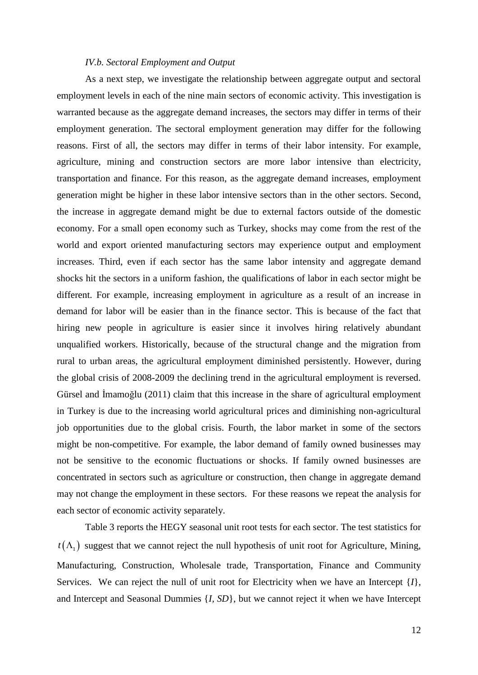#### *IV.b. Sectoral Employment and Output*

As a next step, we investigate the relationship between aggregate output and sectoral employment levels in each of the nine main sectors of economic activity. This investigation is warranted because as the aggregate demand increases, the sectors may differ in terms of their employment generation. The sectoral employment generation may differ for the following reasons. First of all, the sectors may differ in terms of their labor intensity. For example, agriculture, mining and construction sectors are more labor intensive than electricity, transportation and finance. For this reason, as the aggregate demand increases, employment generation might be higher in these labor intensive sectors than in the other sectors. Second, the increase in aggregate demand might be due to external factors outside of the domestic economy. For a small open economy such as Turkey, shocks may come from the rest of the world and export oriented manufacturing sectors may experience output and employment increases. Third, even if each sector has the same labor intensity and aggregate demand shocks hit the sectors in a uniform fashion, the qualifications of labor in each sector might be different. For example, increasing employment in agriculture as a result of an increase in demand for labor will be easier than in the finance sector. This is because of the fact that hiring new people in agriculture is easier since it involves hiring relatively abundant unqualified workers. Historically, because of the structural change and the migration from rural to urban areas, the agricultural employment diminished persistently. However, during the global crisis of 2008-2009 the declining trend in the agricultural employment is reversed. Gürsel and İmamoğlu (2011) claim that this increase in the share of agricultural employment in Turkey is due to the increasing world agricultural prices and diminishing non-agricultural job opportunities due to the global crisis. Fourth, the labor market in some of the sectors might be non-competitive. For example, the labor demand of family owned businesses may not be sensitive to the economic fluctuations or shocks. If family owned businesses are concentrated in sectors such as agriculture or construction, then change in aggregate demand may not change the employment in these sectors. For these reasons we repeat the analysis for each sector of economic activity separately.

Table 3 reports the HEGY seasonal unit root tests for each sector. The test statistics for  $t(\Lambda_1)$  suggest that we cannot reject the null hypothesis of unit root for Agriculture, Mining, Manufacturing, Construction, Wholesale trade, Transportation, Finance and Community Services. We can reject the null of unit root for Electricity when we have an Intercept {*I*}, and Intercept and Seasonal Dummies {*I, SD*}, but we cannot reject it when we have Intercept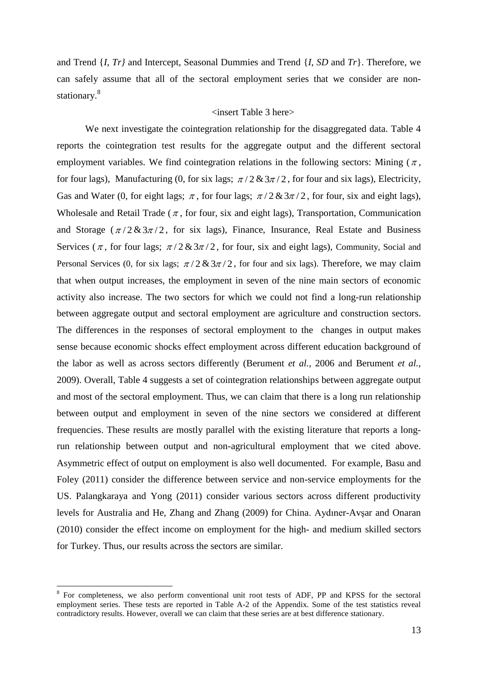and Trend {*I*, *Tr}* and Intercept, Seasonal Dummies and Trend {*I*, *SD* and *Tr*}. Therefore, we can safely assume that all of the sectoral employment series that we consider are nonstationary.<sup>8</sup>

## <insert Table 3 here>

We next investigate the cointegration relationship for the disaggregated data. Table 4 reports the cointegration test results for the aggregate output and the different sectoral employment variables. We find cointegration relations in the following sectors: Mining  $(\pi,$ for four lags), Manufacturing (0, for six lags;  $\pi/2 \& 3\pi/2$ , for four and six lags), Electricity, Gas and Water (0, for eight lags;  $\pi$ , for four lags;  $\pi/2 \& 3\pi/2$ , for four, six and eight lags), Wholesale and Retail Trade ( $\pi$ , for four, six and eight lags), Transportation, Communication and Storage  $(\pi/2 \& 3\pi/2)$ , for six lags), Finance, Insurance, Real Estate and Business Services ( $\pi$ , for four lags;  $\pi/2 \& 3\pi/2$ , for four, six and eight lags), Community, Social and Personal Services (0, for six lags;  $\pi/2 \& 3\pi/2$ , for four and six lags). Therefore, we may claim that when output increases, the employment in seven of the nine main sectors of economic activity also increase. The two sectors for which we could not find a long-run relationship between aggregate output and sectoral employment are agriculture and construction sectors. The differences in the responses of sectoral employment to the changes in output makes sense because economic shocks effect employment across different education background of the labor as well as across sectors differently (Berument *et al.*, 2006 and Berument *et al.*, 2009). Overall, Table 4 suggests a set of cointegration relationships between aggregate output and most of the sectoral employment. Thus, we can claim that there is a long run relationship between output and employment in seven of the nine sectors we considered at different frequencies. These results are mostly parallel with the existing literature that reports a longrun relationship between output and non-agricultural employment that we cited above. Asymmetric effect of output on employment is also well documented. For example, Basu and Foley (2011) consider the difference between service and non-service employments for the US. Palangkaraya and Yong (2011) consider various sectors across different productivity levels for Australia and He, Zhang and Zhang (2009) for China. Aydıner-Avşar and Onaran (2010) consider the effect income on employment for the high- and medium skilled sectors for Turkey. Thus, our results across the sectors are similar.

1

<sup>&</sup>lt;sup>8</sup> For completeness, we also perform conventional unit root tests of ADF, PP and KPSS for the sectoral employment series. These tests are reported in Table A-2 of the Appendix. Some of the test statistics reveal contradictory results. However, overall we can claim that these series are at best difference stationary.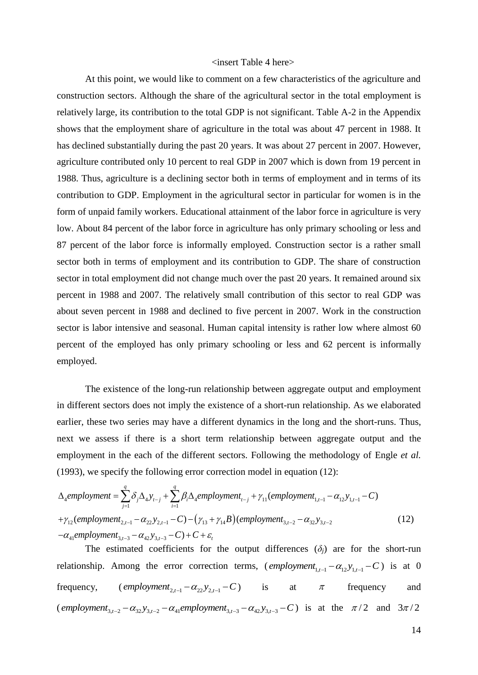## <insert Table 4 here>

At this point, we would like to comment on a few characteristics of the agriculture and construction sectors. Although the share of the agricultural sector in the total employment is relatively large, its contribution to the total GDP is not significant. Table A-2 in the Appendix shows that the employment share of agriculture in the total was about 47 percent in 1988. It has declined substantially during the past 20 years. It was about 27 percent in 2007. However, agriculture contributed only 10 percent to real GDP in 2007 which is down from 19 percent in 1988. Thus, agriculture is a declining sector both in terms of employment and in terms of its contribution to GDP. Employment in the agricultural sector in particular for women is in the form of unpaid family workers. Educational attainment of the labor force in agriculture is very low. About 84 percent of the labor force in agriculture has only primary schooling or less and 87 percent of the labor force is informally employed. Construction sector is a rather small sector both in terms of employment and its contribution to GDP. The share of construction sector in total employment did not change much over the past 20 years. It remained around six percent in 1988 and 2007. The relatively small contribution of this sector to real GDP was about seven percent in 1988 and declined to five percent in 2007. Work in the construction sector is labor intensive and seasonal. Human capital intensity is rather low where almost 60 percent of the employed has only primary schooling or less and 62 percent is informally employed.

The existence of the long-run relationship between aggregate output and employment in different sectors does not imply the existence of a short-run relationship. As we elaborated earlier, these two series may have a different dynamics in the long and the short-runs. Thus, next we assess if there is a short term relationship between aggregate output and the employment in the each of the different sectors. Following the methodology of Engle *et al.* (1993), we specify the following error correction model in equation (12):

$$
\Delta_{4}employment = \sum_{j=1}^{q} \delta_{j} \Delta_{4} y_{t-j} + \sum_{i=1}^{q} \beta_{i} \Delta_{4}employment_{t-j} + \gamma_{11}(employment_{1,t-1} - \alpha_{12} y_{1,t-1} - C)
$$
  
+ $\gamma_{12}(employment_{2,t-1} - \alpha_{22} y_{2,t-1} - C) - (\gamma_{13} + \gamma_{14} B)(employment_{3,t-2} - \alpha_{32} y_{3,t-2}$   
- $\alpha_{41}employment_{3,t-3} - \alpha_{42} y_{3,t-3} - C) + C + \varepsilon_{t}$  (12)

The estimated coefficients for the output differences  $(\delta_i)$  are for the short-run relationship. Among the error correction terms,  $\text{(employment}_{1,t-1} - \alpha_{12} y_{1,t-1} - C)$  is at 0 frequency,  $\text{(employment}_{2,t-1} - \alpha_{22} y_{2,t-1} - C)$  is at  $\pi$  frequency and  $employment_{3,t-2} - \alpha_{32} y_{3,t-2} - \alpha_{41} \neq employment_{3,t-3} - \alpha_{42} y_{3,t-3} - C$  is at the  $\pi/2$  and  $3\pi/2$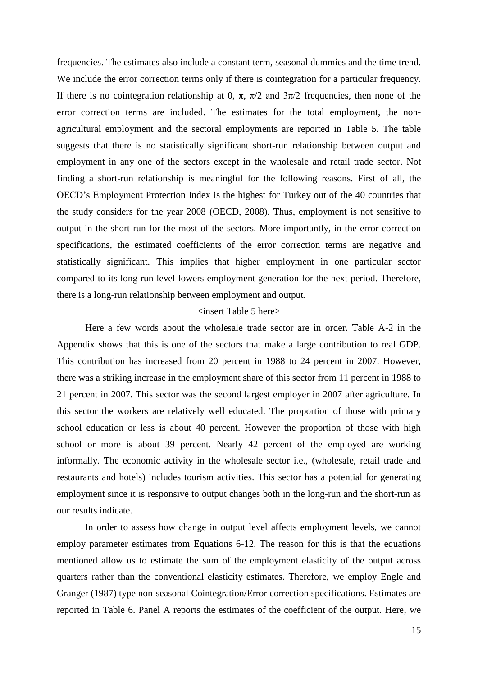frequencies. The estimates also include a constant term, seasonal dummies and the time trend. We include the error correction terms only if there is cointegration for a particular frequency. If there is no cointegration relationship at 0,  $\pi$ ,  $\pi/2$  and  $3\pi/2$  frequencies, then none of the error correction terms are included. The estimates for the total employment, the nonagricultural employment and the sectoral employments are reported in Table 5. The table suggests that there is no statistically significant short-run relationship between output and employment in any one of the sectors except in the wholesale and retail trade sector. Not finding a short-run relationship is meaningful for the following reasons. First of all, the OECD's Employment Protection Index is the highest for Turkey out of the 40 countries that the study considers for the year 2008 (OECD, 2008). Thus, employment is not sensitive to output in the short-run for the most of the sectors. More importantly, in the error-correction specifications, the estimated coefficients of the error correction terms are negative and statistically significant. This implies that higher employment in one particular sector compared to its long run level lowers employment generation for the next period. Therefore, there is a long-run relationship between employment and output.

## <insert Table 5 here>

Here a few words about the wholesale trade sector are in order. Table A-2 in the Appendix shows that this is one of the sectors that make a large contribution to real GDP. This contribution has increased from 20 percent in 1988 to 24 percent in 2007. However, there was a striking increase in the employment share of this sector from 11 percent in 1988 to 21 percent in 2007. This sector was the second largest employer in 2007 after agriculture. In this sector the workers are relatively well educated. The proportion of those with primary school education or less is about 40 percent. However the proportion of those with high school or more is about 39 percent. Nearly 42 percent of the employed are working informally. The economic activity in the wholesale sector i.e., (wholesale, retail trade and restaurants and hotels) includes tourism activities. This sector has a potential for generating employment since it is responsive to output changes both in the long-run and the short-run as our results indicate.

In order to assess how change in output level affects employment levels, we cannot employ parameter estimates from Equations 6-12. The reason for this is that the equations mentioned allow us to estimate the sum of the employment elasticity of the output across quarters rather than the conventional elasticity estimates. Therefore, we employ Engle and Granger (1987) type non-seasonal Cointegration/Error correction specifications. Estimates are reported in Table 6. Panel A reports the estimates of the coefficient of the output. Here, we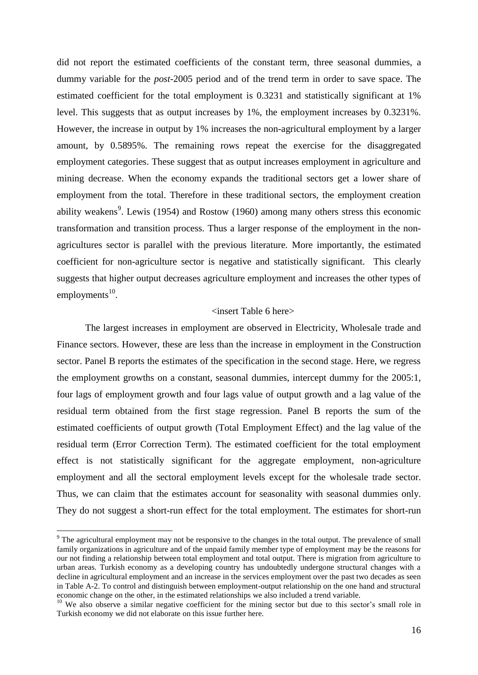did not report the estimated coefficients of the constant term, three seasonal dummies, a dummy variable for the *post*-2005 period and of the trend term in order to save space. The estimated coefficient for the total employment is 0.3231 and statistically significant at 1% level. This suggests that as output increases by 1%, the employment increases by 0.3231%. However, the increase in output by 1% increases the non-agricultural employment by a larger amount, by 0.5895%. The remaining rows repeat the exercise for the disaggregated employment categories. These suggest that as output increases employment in agriculture and mining decrease. When the economy expands the traditional sectors get a lower share of employment from the total. Therefore in these traditional sectors, the employment creation ability weakens<sup>9</sup>. Lewis (1954) and Rostow (1960) among many others stress this economic transformation and transition process. Thus a larger response of the employment in the nonagricultures sector is parallel with the previous literature. More importantly, the estimated coefficient for non-agriculture sector is negative and statistically significant. This clearly suggests that higher output decreases agriculture employment and increases the other types of employments $^{10}$ .

## <insert Table 6 here>

The largest increases in employment are observed in Electricity, Wholesale trade and Finance sectors. However, these are less than the increase in employment in the Construction sector. Panel B reports the estimates of the specification in the second stage. Here, we regress the employment growths on a constant, seasonal dummies, intercept dummy for the 2005:1, four lags of employment growth and four lags value of output growth and a lag value of the residual term obtained from the first stage regression. Panel B reports the sum of the estimated coefficients of output growth (Total Employment Effect) and the lag value of the residual term (Error Correction Term). The estimated coefficient for the total employment effect is not statistically significant for the aggregate employment, non-agriculture employment and all the sectoral employment levels except for the wholesale trade sector. Thus, we can claim that the estimates account for seasonality with seasonal dummies only. They do not suggest a short-run effect for the total employment. The estimates for short-run

1

<sup>&</sup>lt;sup>9</sup> The agricultural employment may not be responsive to the changes in the total output. The prevalence of small family organizations in agriculture and of the unpaid family member type of employment may be the reasons for our not finding a relationship between total employment and total output. There is migration from agriculture to urban areas. Turkish economy as a developing country has undoubtedly undergone structural changes with a decline in agricultural employment and an increase in the services employment over the past two decades as seen in Table A-2. To control and distinguish between employment-output relationship on the one hand and structural economic change on the other, in the estimated relationships we also included a trend variable.

<sup>&</sup>lt;sup>10</sup> We also observe a similar negative coefficient for the mining sector but due to this sector's small role in Turkish economy we did not elaborate on this issue further here.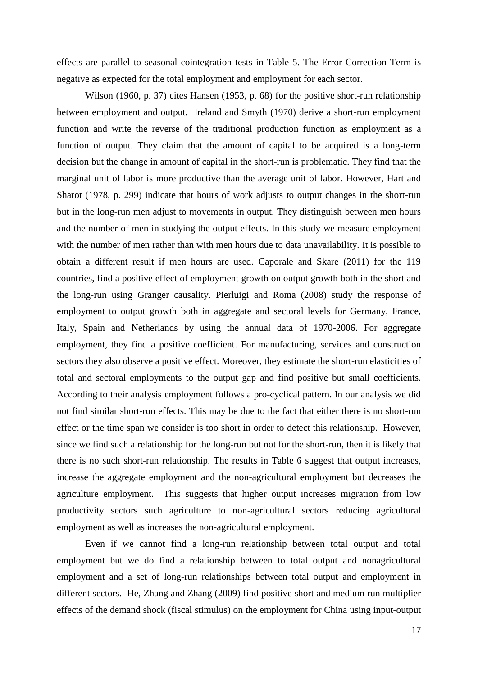effects are parallel to seasonal cointegration tests in Table 5. The Error Correction Term is negative as expected for the total employment and employment for each sector.

Wilson (1960, p. 37) cites Hansen (1953, p. 68) for the positive short-run relationship between employment and output. Ireland and Smyth (1970) derive a short-run employment function and write the reverse of the traditional production function as employment as a function of output. They claim that the amount of capital to be acquired is a long-term decision but the change in amount of capital in the short-run is problematic. They find that the marginal unit of labor is more productive than the average unit of labor. However, Hart and Sharot (1978, p. 299) indicate that hours of work adjusts to output changes in the short-run but in the long-run men adjust to movements in output. They distinguish between men hours and the number of men in studying the output effects. In this study we measure employment with the number of men rather than with men hours due to data unavailability. It is possible to obtain a different result if men hours are used. Caporale and Skare (2011) for the 119 countries, find a positive effect of employment growth on output growth both in the short and the long-run using Granger causality. Pierluigi and Roma (2008) study the response of employment to output growth both in aggregate and sectoral levels for Germany, France, Italy, Spain and Netherlands by using the annual data of 1970-2006. For aggregate employment, they find a positive coefficient. For manufacturing, services and construction sectors they also observe a positive effect. Moreover, they estimate the short-run elasticities of total and sectoral employments to the output gap and find positive but small coefficients. According to their analysis employment follows a pro-cyclical pattern. In our analysis we did not find similar short-run effects. This may be due to the fact that either there is no short-run effect or the time span we consider is too short in order to detect this relationship. However, since we find such a relationship for the long-run but not for the short-run, then it is likely that there is no such short-run relationship. The results in Table 6 suggest that output increases, increase the aggregate employment and the non-agricultural employment but decreases the agriculture employment. This suggests that higher output increases migration from low productivity sectors such agriculture to non-agricultural sectors reducing agricultural employment as well as increases the non-agricultural employment.

Even if we cannot find a long-run relationship between total output and total employment but we do find a relationship between to total output and nonagricultural employment and a set of long-run relationships between total output and employment in different sectors. He, Zhang and Zhang (2009) find positive short and medium run multiplier effects of the demand shock (fiscal stimulus) on the employment for China using input-output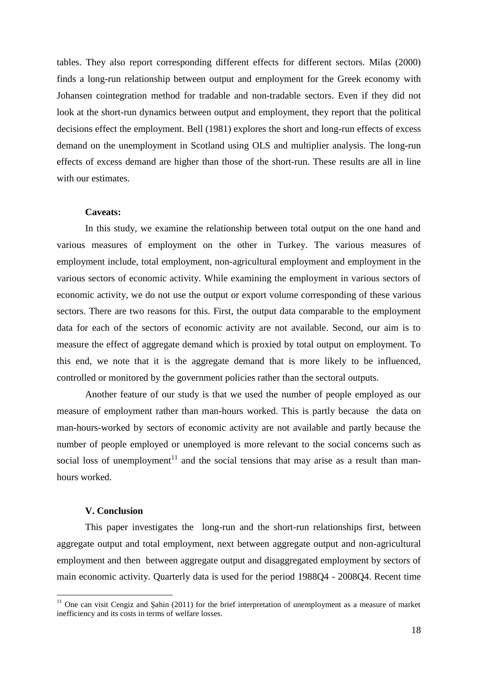tables. They also report corresponding different effects for different sectors. Milas (2000) finds a long-run relationship between output and employment for the Greek economy with Johansen cointegration method for tradable and non-tradable sectors. Even if they did not look at the short-run dynamics between output and employment, they report that the political decisions effect the employment. Bell (1981) explores the short and long-run effects of excess demand on the unemployment in Scotland using OLS and multiplier analysis. The long-run effects of excess demand are higher than those of the short-run. These results are all in line with our estimates.

## **Caveats:**

In this study, we examine the relationship between total output on the one hand and various measures of employment on the other in Turkey. The various measures of employment include, total employment, non-agricultural employment and employment in the various sectors of economic activity. While examining the employment in various sectors of economic activity, we do not use the output or export volume corresponding of these various sectors. There are two reasons for this. First, the output data comparable to the employment data for each of the sectors of economic activity are not available. Second, our aim is to measure the effect of aggregate demand which is proxied by total output on employment. To this end, we note that it is the aggregate demand that is more likely to be influenced, controlled or monitored by the government policies rather than the sectoral outputs.

Another feature of our study is that we used the number of people employed as our measure of employment rather than man-hours worked. This is partly because the data on man-hours-worked by sectors of economic activity are not available and partly because the number of people employed or unemployed is more relevant to the social concerns such as social loss of unemployment<sup>11</sup> and the social tensions that may arise as a result than manhours worked.

#### **V. Conclusion**

<u>.</u>

This paper investigates the long-run and the short-run relationships first, between aggregate output and total employment, next between aggregate output and non-agricultural employment and then between aggregate output and disaggregated employment by sectors of main economic activity. Quarterly data is used for the period 1988Q4 - 2008Q4. Recent time

 $11$  One can visit Cengiz and Şahin (2011) for the brief interpretation of unemployment as a measure of market inefficiency and its costs in terms of welfare losses.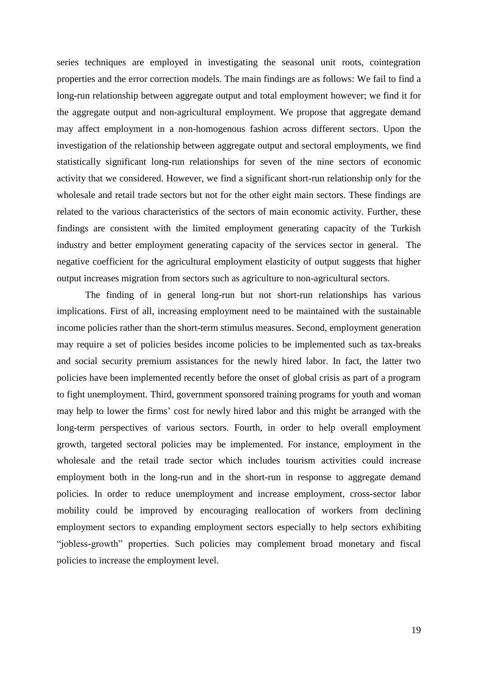series techniques are employed in investigating the seasonal unit roots, cointegration properties and the error correction models. The main findings are as follows: We fail to find a long-run relationship between aggregate output and total employment however; we find it for the aggregate output and non-agricultural employment. We propose that aggregate demand may affect employment in a non-homogenous fashion across different sectors. Upon the investigation of the relationship between aggregate output and sectoral employments, we find statistically significant long-run relationships for seven of the nine sectors of economic activity that we considered. However, we find a significant short-run relationship only for the wholesale and retail trade sectors but not for the other eight main sectors. These findings are related to the various characteristics of the sectors of main economic activity. Further, these findings are consistent with the limited employment generating capacity of the Turkish industry and better employment generating capacity of the services sector in general. The negative coefficient for the agricultural employment elasticity of output suggests that higher output increases migration from sectors such as agriculture to non-agricultural sectors.

The finding of in general long-run but not short-run relationships has various implications. First of all, increasing employment need to be maintained with the sustainable income policies rather than the short-term stimulus measures. Second, employment generation may require a set of policies besides income policies to be implemented such as tax-breaks and social security premium assistances for the newly hired labor. In fact, the latter two policies have been implemented recently before the onset of global crisis as part of a program to fight unemployment. Third, government sponsored training programs for youth and woman may help to lower the firms' cost for newly hired labor and this might be arranged with the long-term perspectives of various sectors. Fourth, in order to help overall employment growth, targeted sectoral policies may be implemented. For instance, employment in the wholesale and the retail trade sector which includes tourism activities could increase employment both in the long-run and in the short-run in response to aggregate demand policies. In order to reduce unemployment and increase employment, cross-sector labor mobility could be improved by encouraging reallocation of workers from declining employment sectors to expanding employment sectors especially to help sectors exhibiting "jobless-growth" properties. Such policies may complement broad monetary and fiscal policies to increase the employment level.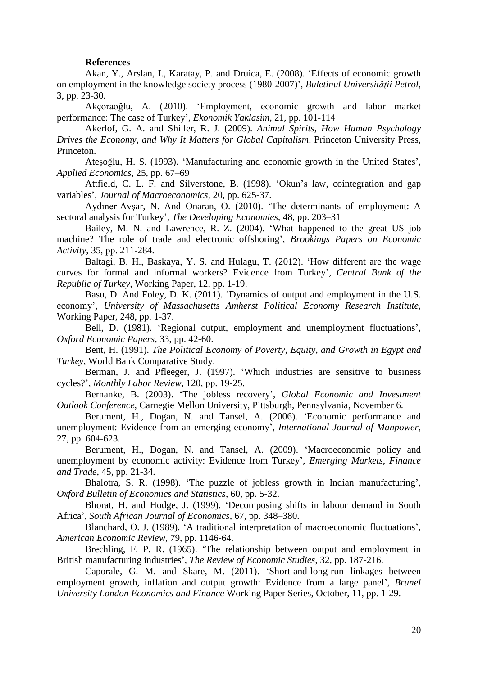#### **References**

Akan, Y., Arslan, I., Karatay, P. and Druica, E. (2008). 'Effects of economic growth on employment in the knowledge society process (1980-2007)', *Buletinul Universităţii Petrol*, 3, pp. 23-30.

Akçoraoğlu, A. (2010). 'Employment, economic growth and labor market performance: The case of Turkey', *Ekonomik Yaklasim*, 21, pp. 101-114

Akerlof, G. A. and Shiller, R. J. (2009). *Animal Spirits, How Human Psychology Drives the Economy, and Why It Matters for Global Capitalism*. Princeton University Press, Princeton.

Ateşoğlu, H. S. (1993). 'Manufacturing and economic growth in the United States', *Applied Economics*, 25, pp. 67–69

Attfield, C. L. F. and Silverstone, B. (1998). 'Okun's law, cointegration and gap variables', *Journal of Macroeconomics*, 20, pp. 625-37.

Aydıner-Avşar, N. And Onaran, O. (2010). 'The determinants of employment: A sectoral analysis for Turkey', *The Developing Economies*, 48, pp. 203–31

Bailey, M. N. and Lawrence, R. Z. (2004). 'What happened to the great US job machine? The role of trade and electronic offshoring', *Brookings Papers on Economic Activity*, 35, pp. 211-284.

Baltagi, B. H., Baskaya, Y. S. and Hulagu, T. (2012). 'How different are the wage curves for formal and informal workers? Evidence from Turkey', *Central Bank of the Republic of Turkey*, Working Paper, 12, pp. 1-19.

Basu, D. And Foley, D. K. (2011). 'Dynamics of output and employment in the U.S. economy', *University of Massachusetts Amherst Political Economy Research Institute*, Working Paper, 248, pp. 1-37.

Bell, D. (1981). 'Regional output, employment and unemployment fluctuations', *Oxford Economic Papers*, 33, pp. 42-60.

Bent, H. (1991). *The Political Economy of Poverty, Equity, and Growth in Egypt and Turkey*, World Bank Comparative Study.

Berman, J. and Pfleeger, J. (1997). 'Which industries are sensitive to business cycles?', *Monthly Labor Review*, 120, pp. 19-25.

Bernanke, B. (2003). 'The jobless recovery', *Global Economic and Investment Outlook Conference*, Carnegie Mellon University, Pittsburgh, Pennsylvania, November 6.

Berument, H., Dogan, N. and Tansel, A. (2006). 'Economic performance and unemployment: Evidence from an emerging economy', *International Journal of Manpower*, 27, pp. 604-623.

Berument, H., Dogan, N. and Tansel, A. (2009). 'Macroeconomic policy and unemployment by economic activity: Evidence from Turkey', *Emerging Markets, Finance and Trade*, 45, pp. 21-34.

Bhalotra, S. R. (1998). 'The puzzle of jobless growth in Indian manufacturing', *Oxford Bulletin of Economics and Statistics*, 60, pp. 5-32.

Bhorat, H. and Hodge, J. (1999). 'Decomposing shifts in labour demand in South Africa', *South African Journal of Economics,* 67, pp. 348–380.

Blanchard, O. J. (1989). 'A traditional interpretation of macroeconomic fluctuations', *American Economic Review*, 79, pp. 1146-64.

Brechling, F. P. R. (1965). 'The relationship between output and employment in British manufacturing industries', *The Review of Economic Studies*, 32, pp. 187-216.

Caporale, G. M. and Skare, M. (2011). 'Short-and-long-run linkages between employment growth, inflation and output growth: Evidence from a large panel', *Brunel University London Economics and Finance* Working Paper Series, October, 11, pp. 1-29.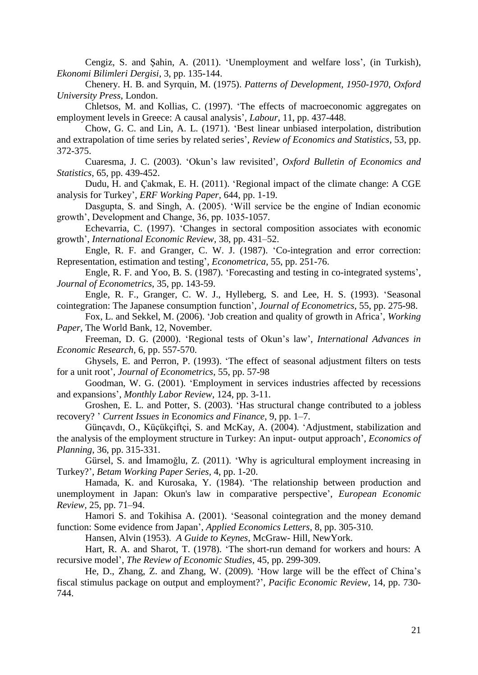Cengiz, S. and Şahin, A. (2011). 'Unemployment and welfare loss', (in Turkish), *Ekonomi Bilimleri Dergisi*, 3, pp. 135-144.

Chenery. H. B. and Syrquin, M. (1975). *Patterns of Development, 1950-1970*, *Oxford University Press*, London.

Chletsos, M. and Kollias, C. (1997). 'The effects of macroeconomic aggregates on employment levels in Greece: A causal analysis', *Labour*, 11, pp. 437-448.

Chow, G. C. and Lin, A. L. (1971). 'Best linear unbiased interpolation, distribution and extrapolation of time series by related series', *Review of Economics and Statistics*, 53, pp. 372-375.

Cuaresma, J. C. (2003). 'Okun's law revisited', *Oxford Bulletin of Economics and Statistics*, 65, pp. 439-452.

Dudu, H. and Çakmak, E. H. (2011). 'Regional impact of the climate change: A CGE analysis for Turkey', *ERF Working Paper,* 644, pp. 1-19.

Dasgupta, S. and Singh, A. (2005). 'Will service be the engine of Indian economic growth', Development and Change, 36, pp. 1035-1057.

Echevarria, C. (1997). 'Changes in sectoral composition associates with economic growth', *International Economic Review*, 38, pp. 431–52.

Engle, R. F. and Granger, C. W. J. (1987). 'Co-integration and error correction: Representation, estimation and testing', *Econometrica*, 55, pp. 251-76.

Engle, R. F. and Yoo, B. S. (1987). 'Forecasting and testing in co-integrated systems', *Journal of Econometrics*, 35, pp. 143-59.

Engle, R. F., Granger, C. W. J., Hylleberg, S. and Lee, H. S. (1993). 'Seasonal cointegration: The Japanese consumption function', *Journal of Econometrics*, 55, pp. 275-98.

Fox, L. and Sekkel, M. (2006). 'Job creation and quality of growth in Africa', *Working Paper,* The World Bank, 12, November.

Freeman, D. G. (2000). 'Regional tests of Okun's law', *International Advances in Economic Research,* 6, pp. 557-570.

Ghysels, E. and Perron, P. (1993). 'The effect of seasonal adjustment filters on tests for a unit root', *Journal of Econometrics*, 55, pp. 57-98

Goodman, W. G. (2001). 'Employment in services industries affected by recessions and expansions', *Monthly Labor Review*, 124, pp. 3-11.

Groshen, E. L. and Potter, S. (2003). 'Has structural change contributed to a jobless recovery? ' *Current Issues in* E*conomics and Finance*, 9, pp. 1–7.

Günçavdı, O., Küçükçiftçi, S. and McKay, A. (2004). 'Adjustment, stabilization and the analysis of the employment structure in Turkey: An input- output approach', *Economics of Planning*, 36, pp. 315-331.

Gürsel, S. and İmamoğlu, Z. (2011). 'Why is agricultural employment increasing in Turkey?', *Betam Working Paper Series,* 4, pp. 1-20.

Hamada, K. and Kurosaka, Y. (1984). 'The relationship between production and unemployment in Japan: Okun's law in comparative perspective', *European Economic Review,* 25, pp. 71–94.

Hamori S. and Tokihisa A. (2001). 'Seasonal cointegration and the money demand function: Some evidence from Japan', *Applied Economics Letters*, 8, pp. 305-310.

Hansen, Alvin (1953). *A Guide to Keynes*, McGraw- Hill, NewYork.

Hart, R. A. and Sharot, T. (1978). 'The short-run demand for workers and hours: A recursive model', *The Review of Economic Studies*, 45, pp. 299-309.

He, D., Zhang, Z. and Zhang, W. (2009). 'How large will be the effect of China's fiscal stimulus package on output and employment?', *Pacific Economic Review*, 14, pp. 730- 744.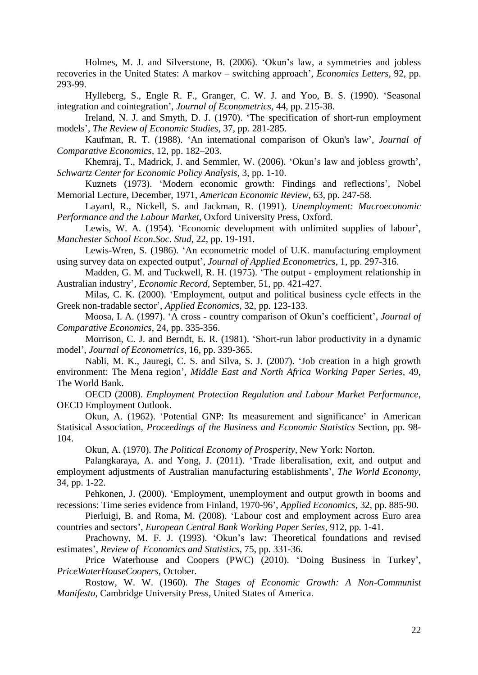Holmes, M. J. and Silverstone, B. (2006). 'Okun's law, a symmetries and jobless recoveries in the United States: A markov – switching approach', *Economics Letters*, 92, pp. 293-99.

Hylleberg, S., Engle R. F., Granger, C. W. J. and Yoo, B. S. (1990). 'Seasonal integration and cointegration', *Journal of Econometrics*, 44, pp. 215-38.

Ireland, N. J. and Smyth, D. J. (1970). 'The specification of short-run employment models', *The Review of Economic Studies*, 37, pp. 281-285.

Kaufman, R. T. (1988). 'An international comparison of Okun's law', *Journal of Comparative Economics,* 12, pp. 182–203.

Khemraj, T., Madrick, J. and Semmler, W. (2006). 'Okun's law and jobless growth', *Schwartz Center for Economic Policy Analysis*, 3, pp. 1-10.

Kuznets (1973). 'Modern economic growth: Findings and reflections', Nobel Memorial Lecture, December, 1971, *American Economic Review*, 63, pp. 247-58.

Layard, R., Nickell, S. and Jackman, R. (1991). *Unemployment: Macroeconomic Performance and the Labour Market*, Oxford University Press, Oxford.

Lewis, W. A. (1954). 'Economic development with unlimited supplies of labour', *Manchester School Econ.Soc. Stud*, 22, pp. 19-191.

Lewis-Wren, S. (1986). 'An econometric model of U.K. manufacturing employment using survey data on expected output', *Journal of Applied Econometrics*, 1, pp. 297-316.

Madden, G. M. and Tuckwell, R. H. (1975). 'The output - employment relationship in Australian industry', *Economic Record*, September, 51, pp. 421-427.

Milas, C. K. (2000). 'Employment, output and political business cycle effects in the Greek non-tradable sector', *Applied Economics*, 32, pp. 123-133.

Moosa, I. A. (1997). 'A cross - country comparison of Okun's coefficient', *Journal of Comparative Economics*, 24, pp. 335-356.

Morrison, C. J. and Berndt, E. R. (1981). 'Short-run labor productivity in a dynamic model', *Journal of Econometrics*, 16, pp. 339-365.

Nabli, M. K., Jauregi, C. S. and Silva, S. J. (2007). 'Job creation in a high growth environment: The Mena region', *Middle East and North Africa Working Paper Series,* 49, The World Bank.

OECD (2008). *Employment Protection Regulation and Labour Market Performance*, OECD Employment Outlook.

Okun, A. (1962). 'Potential GNP: Its measurement and significance' in American Statisical Association, *Proceedings of the Business and Economic Statistics* Section, pp. 98- 104.

Okun, A. (1970). *The Political Economy of Prosperity*, New York: Norton.

Palangkaraya, A. and Yong, J. (2011). 'Trade liberalisation, exit, and output and employment adjustments of Australian manufacturing establishments', *The World Economy*, 34, pp. 1-22.

Pehkonen, J. (2000). 'Employment, unemployment and output growth in booms and recessions: Time series evidence from Finland, 1970-96', *Applied Economics,* 32, pp. 885-90.

Pierluigi, B. and Roma, M. (2008). 'Labour cost and employment across Euro area countries and sectors', *European Central Bank Working Paper Series,* 912, pp. 1-41.

Prachowny, M. F. J. (1993). 'Okun's law: Theoretical foundations and revised estimates', *Review of Economics and Statistics*, 75, pp. 331-36.

Price Waterhouse and Coopers (PWC) (2010). 'Doing Business in Turkey', *PriceWaterHouseCoopers*, October.

Rostow, W. W. (1960). *The Stages of Economic Growth: A Non-Communist Manifesto*, Cambridge University Press, United States of America.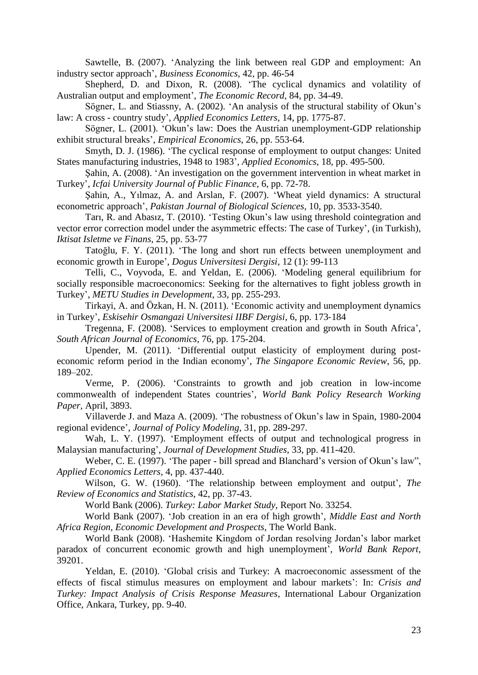[Sawtelle, B.](http://www.scopus.com.scopeesprx.elsevier.com/search/submit/author.url?author=Sawtelle%2c+B.&authorId=24177564700&origin=recordpage) (2007). 'Analyzing the link between real GDP and employment: An industry sector approach', *[Business Economics](http://www.scopus.com.scopeesprx.elsevier.com/source/sourceInfo.url?sourceId=20176)*, 42, pp. 46-54

Shepherd, D. and Dixon, R. (2008). 'The cyclical dynamics and volatility of Australian output and employment', *The Economic Record*, 84, pp. 34-49.

Sögner, L. and Stiassny, A. (2002). 'An analysis of the structural stability of Okun's law: A cross - country study', *Applied Economics Letters*, 14, pp. 1775-87.

Sögner, L. (2001). 'Okun's law: Does the Austrian unemployment-GDP relationship exhibit structural breaks', *Empirical Economics*, 26, pp. 553-64.

Smyth, D. J. (1986). 'The cyclical response of employment to output changes: United States manufacturing industries, 1948 to 1983', *Applied Economics*, 18, pp. 495-500.

Şahin, A. (2008). 'An investigation on the government intervention in wheat market in Turkey', *Icfai University Journal of Public Finance,* 6, pp. 72-78.

Şahin, A., Yılmaz, A. and Arslan, F. (2007). 'Wheat yield dynamics: A structural econometric approach', *Pakistan Journal of Biological Sciences,* 10, pp. 3533-3540.

Tarı, R. and Abasız, T. (2010). 'Testing Okun's law using threshold cointegration and vector error correction model under the asymmetric effects: The case of Turkey', (in Turkish), *Iktisat Isletme ve Finans*, 25, pp. 53-77

Tatoğlu, F. Y. (2011). 'The long and short run effects between unemployment and economic growth in Europe', *Dogus Universitesi Dergisi*, 12 (1): 99-113

Telli, C., Voyvoda, E. and Yeldan, E. (2006). 'Modeling general equilibrium for socially responsible macroeconomics: Seeking for the alternatives to fight jobless growth in Turkey', *METU Studies in Development*, 33, pp. 255-293.

Tirkayi, A. and Özkan, H. N. (2011). 'Economic activity and unemployment dynamics in Turkey', *Eskisehir Osmangazi Universitesi IIBF Dergisi*, 6, pp. 173‐184

Tregenna, F. (2008). 'Services to employment creation and growth in South Africa', *South African Journal of Economics*, 76, pp. 175-204.

Upender, M. (2011). 'Differential output elasticity of employment during posteconomic reform period in the Indian economy', *The Singapore Economic Review*, 56, pp. 189–202.

Verme, P. (2006). 'Constraints to growth and job creation in low-income commonwealth of independent States countries', *World Bank Policy Research Working Paper,* April, 3893.

Villaverde J. and Maza A. (2009). 'The robustness of Okun's law in Spain, 1980-2004 regional evidence', *Journal of Policy Modeling*, 31, pp. 289-297.

Wah, L. Y. (1997). 'Employment effects of output and technological progress in Malaysian manufacturing', *Journal of Development Studies,* 33, pp. 411-420.

Weber, C. E. (1997). 'The paper - bill spread and Blanchard's version of Okun's law", *Applied Economics Letters*, 4, pp. 437-440.

Wilson, G. W. (1960). 'The relationship between employment and output', *The Review of Economics and Statistics*, 42, pp. 37-43.

World Bank (2006). *Turkey: Labor Market Study*, Report No. 33254.

World Bank (2007). 'Job creation in an era of high growth', *Middle East and North Africa Region, Economic Development and Prospects*, The World Bank.

World Bank (2008). 'Hashemite Kingdom of Jordan resolving Jordan's labor market paradox of concurrent economic growth and high unemployment', *World Bank Report,*  39201.

Yeldan, E. (2010). 'Global crisis and Turkey: A macroeconomic assessment of the effects of fiscal stimulus measures on employment and labour markets': In: *Crisis and Turkey: Impact Analysis of Crisis Response Measures*, International Labour Organization Office, Ankara, Turkey, pp. 9-40.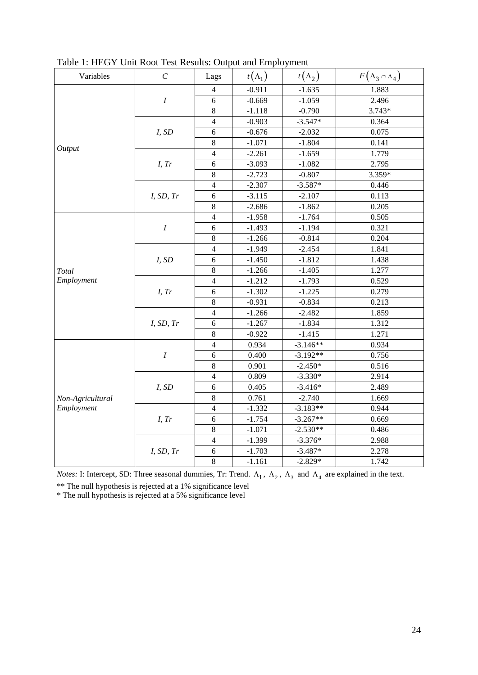| Variables        | $\mathcal{C}_{0}^{0}$ | Lags           | $t(\Lambda_1)$ | $t(\Lambda_2)$ | $F(\Lambda_3 \cap \Lambda_4)$ |
|------------------|-----------------------|----------------|----------------|----------------|-------------------------------|
|                  |                       | 4              | $-0.911$       | $-1.635$       | 1.883                         |
|                  | $\boldsymbol{I}$      | 6              | $-0.669$       | $-1.059$       | 2.496                         |
|                  |                       | 8              | $-1.118$       | $-0.790$       | $3.743*$                      |
|                  |                       | $\overline{4}$ | $-0.903$       | $-3.547*$      | 0.364                         |
|                  | I, SD                 | 6              | $-0.676$       | $-2.032$       | 0.075                         |
| Output           |                       | 8              | $-1.071$       | $-1.804$       | 0.141                         |
|                  |                       | $\overline{4}$ | $-2.261$       | $-1.659$       | 1.779                         |
|                  | I, Tr                 | 6              | $-3.093$       | $-1.082$       | 2.795                         |
|                  |                       | $\,8\,$        | $-2.723$       | $-0.807$       | 3.359*                        |
|                  |                       | $\overline{4}$ | $-2.307$       | $-3.587*$      | 0.446                         |
|                  | I, SD, Tr             | 6              | $-3.115$       | $-2.107$       | 0.113                         |
|                  |                       | 8              | $-2.686$       | $-1.862$       | 0.205                         |
|                  |                       | $\overline{4}$ | $-1.958$       | $-1.764$       | 0.505                         |
|                  | $\boldsymbol{I}$      | 6              | $-1.493$       | $-1.194$       | 0.321                         |
|                  |                       | 8              | $-1.266$       | $-0.814$       | 0.204                         |
|                  |                       | $\overline{4}$ | $-1.949$       | $-2.454$       | 1.841                         |
|                  | I, SD                 | 6              | $-1.450$       | $-1.812$       | 1.438                         |
| Total            |                       | 8              | $-1.266$       | $-1.405$       | 1.277                         |
| Employment       |                       | $\overline{4}$ | $-1.212$       | $-1.793$       | 0.529                         |
|                  | I, Tr                 | 6              | $-1.302$       | $-1.225$       | 0.279                         |
|                  |                       | $\,8\,$        | $-0.931$       | $-0.834$       | 0.213                         |
|                  |                       | $\overline{4}$ | $-1.266$       | $-2.482$       | 1.859                         |
|                  | I, SD, Tr             | 6              | $-1.267$       | $-1.834$       | 1.312                         |
|                  |                       | $\,8\,$        | $-0.922$       | $-1.415$       | 1.271                         |
|                  |                       | $\overline{4}$ | 0.934          | $-3.146**$     | 0.934                         |
|                  | $\boldsymbol{I}$      | 6              | 0.400          | $-3.192**$     | 0.756                         |
|                  |                       | 8              | 0.901          | $-2.450*$      | 0.516                         |
|                  |                       | $\overline{4}$ | 0.809          | $-3.330*$      | 2.914                         |
|                  | I, SD                 | 6              | 0.405          | $-3.416*$      | 2.489                         |
| Non-Agricultural |                       | 8              | 0.761          | $-2.740$       | 1.669                         |
| Employment       |                       | $\overline{4}$ | $-1.332$       | $-3.183**$     | 0.944                         |
|                  | I, Tr                 | 6              | $-1.754$       | $-3.267**$     | 0.669                         |
|                  |                       | 8              | $-1.071$       | $-2.530**$     | 0.486                         |
|                  |                       | $\overline{4}$ | $-1.399$       | $-3.376*$      | 2.988                         |
|                  | I, SD, Tr             | 6              | $-1.703$       | $-3.487*$      | 2.278                         |
|                  |                       | 8              | $-1.161$       | $-2.829*$      | 1.742                         |

Table 1: HEGY Unit Root Test Results: Output and Employment

*Notes:* I: Intercept, SD: Three seasonal dummies, Tr: Trend.  $\Lambda_1$ ,  $\Lambda_2$ ,  $\Lambda_3$  and  $\Lambda_4$  are explained in the text.

\*\* The null hypothesis is rejected at a 1% significance level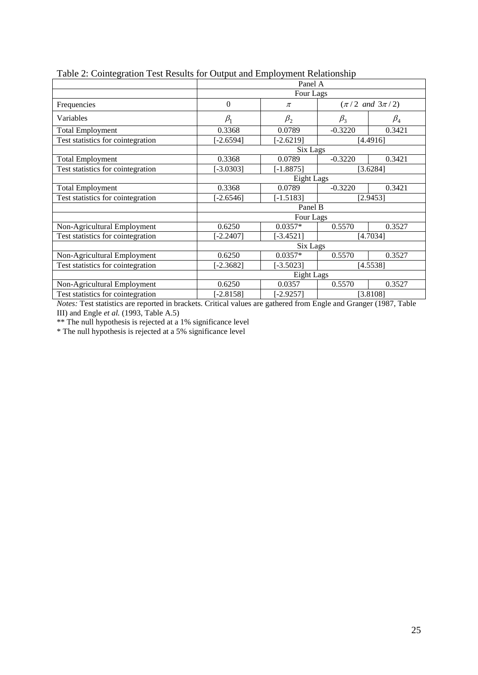| raoic 2. Connextation Test Results for Output and Employment Relationship |             |             |           |                               |  |  |  |
|---------------------------------------------------------------------------|-------------|-------------|-----------|-------------------------------|--|--|--|
|                                                                           |             | Panel A     |           |                               |  |  |  |
|                                                                           |             | Four Lags   |           |                               |  |  |  |
| Frequencies                                                               | $\theta$    | $\pi$       |           | $(\pi/2 \text{ and } 3\pi/2)$ |  |  |  |
| Variables                                                                 | $\beta_1$   | $\beta_2$   | $\beta_3$ | $\beta_4$                     |  |  |  |
| <b>Total Employment</b>                                                   | 0.3368      | 0.0789      | $-0.3220$ | 0.3421                        |  |  |  |
| Test statistics for cointegration                                         | $-2.6594$ ] | $[-2.6219]$ |           | [4.4916]                      |  |  |  |
|                                                                           |             |             | Six Lags  |                               |  |  |  |
| <b>Total Employment</b>                                                   | 0.3368      | 0.0789      | $-0.3220$ | 0.3421                        |  |  |  |
| Test statistics for cointegration                                         | $-3.0303$ ] | $[-1.8875]$ | [3.6284]  |                               |  |  |  |
|                                                                           |             | Eight Lags  |           |                               |  |  |  |
| <b>Total Employment</b>                                                   | 0.3368      | 0.0789      | $-0.3220$ | 0.3421                        |  |  |  |
| Test statistics for cointegration                                         | $-2.6546$   | $[-1.5183]$ |           | [2.9453]                      |  |  |  |
|                                                                           |             | Panel B     |           |                               |  |  |  |
|                                                                           |             | Four Lags   |           |                               |  |  |  |
| Non-Agricultural Employment                                               | 0.6250      | $0.0357*$   | 0.5570    | 0.3527                        |  |  |  |
| Test statistics for cointegration                                         | $-2.2407$   | $[-3.4521]$ | [4.7034]  |                               |  |  |  |
|                                                                           |             | Six Lags    |           |                               |  |  |  |
| Non-Agricultural Employment                                               | 0.6250      | $0.0357*$   | 0.5570    | 0.3527                        |  |  |  |
| Test statistics for cointegration                                         | $-2.3682$ ] | $[-3.5023]$ |           | [4.5538]                      |  |  |  |
|                                                                           |             | Eight Lags  |           |                               |  |  |  |
| Non-Agricultural Employment                                               | 0.6250      | 0.0357      | 0.5570    | 0.3527                        |  |  |  |
| Test statistics for cointegration                                         | $-2.8158$ ] | [-2.9257]   |           | [3.8108]                      |  |  |  |

## Table 2: Cointegration Test Results for Output and Employment Relationship

*Notes:* Test statistics are reported in brackets. Critical values are gathered from Engle and Granger (1987, Table III) and Engle *et al.* (1993, Table A.5)

\*\* The null hypothesis is rejected at a 1% significance level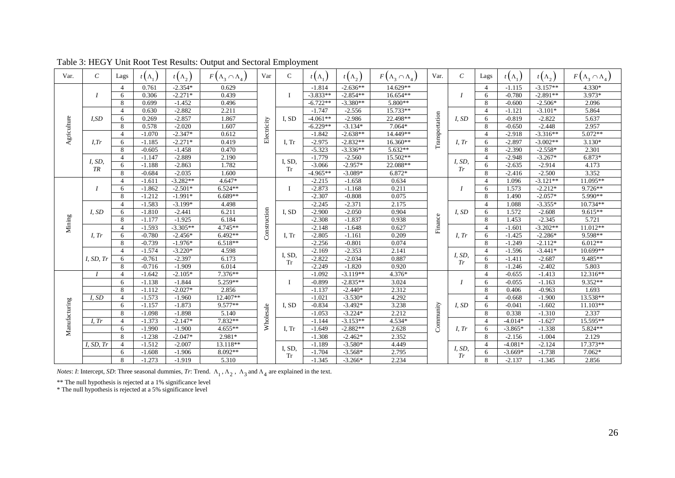| Var.          | $\mathcal{C}$    | Lags           | $t(\Lambda_1)$ | $t(\Lambda_2)$ | $F(\Lambda_3 \cap \Lambda_4)$ | Var          | $\mathcal{C}$       | $t(\Lambda_1)$ | $t(\Lambda_2)$ | $F(\Lambda_3 \cap \Lambda_4)$ | Var.           | $\mathcal{C}_{\mathcal{C}}$ | Lags                     | $t(\Lambda_1)$ | $t(\Lambda_2)$ | $F(\Lambda_3 \cap \Lambda_4)$ |
|---------------|------------------|----------------|----------------|----------------|-------------------------------|--------------|---------------------|----------------|----------------|-------------------------------|----------------|-----------------------------|--------------------------|----------------|----------------|-------------------------------|
|               |                  | $\overline{4}$ | 0.761          | $-2.354*$      | 0.629                         |              |                     | $-1.814$       | $-2.636**$     | 14.629**                      |                |                             | $\overline{4}$           | $-1.115$       | $-3.157**$     | 4.330*                        |
|               |                  | 6              | 0.306          | $-2.271*$      | 0.439                         |              |                     | $-3.833**$     | $-2.854**$     | 16.654**                      |                |                             | 6                        | $-0.780$       | $-2.891**$     | 3.973*                        |
|               |                  | 8              | 0.699          | $-1.452$       | 0.496                         |              |                     | $-6.722**$     | $-3.380**$     | 5.800**                       |                |                             | 8                        | $-0.600$       | $-2.506*$      | 2.096                         |
|               |                  | $\overline{4}$ | 0.630          | $-2.882$       | 2.211                         |              |                     | $-1.747$       | $-2.556$       | 15.733**                      |                |                             | $\overline{4}$           | $-1.121$       | $-3.101*$      | 5.864                         |
|               | I,SD             | 6              | 0.269          | $-2.857$       | 1.867                         |              | I, SD               | $-4.061**$     | $-2.986$       | 22.498**                      |                | I, SD                       | 6                        | $-0.819$       | $-2.822$       | 5.637                         |
| Agriculture   |                  | 8              | 0.578          | $-2.020$       | 1.607                         | Electricity  |                     | $-6.229**$     | $-3.134*$      | $7.064*$                      | Transportation |                             | 8                        | $-0.650$       | $-2.448$       | 2.957                         |
|               |                  | $\overline{4}$ | $-1.070$       | $-2.347*$      | 0.612                         |              |                     | $-1.842$       | $-2.638**$     | 14.449**                      |                |                             | $\boldsymbol{\varDelta}$ | $-2.918$       | $-3.316**$     | 5.072**                       |
|               | I,Tr             | 6              | $-1.185$       | $-2.271*$      | 0.419                         |              | I, Tr               | $-2.975$       | $-2.832**$     | 16.360**                      |                | I, Tr                       | 6                        | $-2.897$       | $-3.002**$     | $3.130*$                      |
|               |                  | 8              | $-0.605$       | $-1.458$       | 0.470                         |              |                     | $-5.323$       | $-3.336**$     | 5.632**                       |                |                             | 8                        | $-2.390$       | $-2.558*$      | 2.301                         |
|               | I, SD,           | $\overline{4}$ | $-1.147$       | $-2.889$       | 2.190                         |              | I, SD,<br><b>Tr</b> | $-1.779$       | $-2.560$       | 15.502**                      |                | I, SD,<br>Tr                | $\overline{4}$           | $-2.948$       | $-3.267*$      | 6.873*                        |
|               | TR               | 6              | $-1.188$       | $-2.863$       | 1.782                         |              |                     | $-3.066$       | $-2.957*$      | 22.088**                      |                |                             | 6                        | $-2.635$       | $-2.914$       | 4.173                         |
|               |                  | 8              | $-0.684$       | $-2.035$       | 1.600                         |              |                     | $-4.965**$     | $-3.089*$      | 6.872*                        |                |                             | 8                        | $-2.416$       | $-2.500$       | 3.352                         |
|               |                  | $\overline{4}$ | $-1.611$       | $-3.282**$     | 4.647*                        |              |                     | $-2.215$       | $-1.658$       | 0.634                         |                |                             | $\boldsymbol{\varDelta}$ | 1.096          | $-3.121**$     | 11.095**                      |
|               | $\boldsymbol{I}$ | 6              | $-1.862$       | $-2.501*$      | $6.524**$                     |              | L                   | $-2.873$       | $-1.168$       | 0.211                         |                | $\boldsymbol{I}$            | 6                        | 1.573          | $-2.212*$      | 9.726**                       |
|               |                  | 8              | $-1.212$       | $-1.991*$      | $6.689**$                     |              |                     | $-2.307$       | $-0.808$       | 0.075                         |                |                             | 8                        | 1.490          | $-2.057*$      | 5.990**                       |
|               |                  | $\overline{4}$ | $-1.583$       | $-3.199*$      | 4.498                         |              |                     | $-2.245$       | $-2.371$       | 2.175                         |                |                             | $\overline{4}$           | 1.088          | $-3.355*$      | 10.734**                      |
|               | I, SD            | 6              | $-1.810$       | $-2.441$       | 6.211                         |              | I, SD               | $-2.900$       | $-2.050$       | 0.904                         |                | I, SD                       | 6                        | 1.572          | $-2.608$       | $9.615**$                     |
| Mining        |                  | 8              | $-1.177$       | $-1.925$       | 6.184                         | Construction |                     | $-2.308$       | $-1.837$       | 0.938                         | Finance        |                             | 8                        | 1.453          | $-2.345$       | 5.721                         |
|               |                  | $\overline{4}$ | $-1.593$       | $-3.305**$     | 4.745**                       |              | I, Tr               | $-2.148$       | $-1.648$       | 0.627                         |                |                             | $\overline{4}$           | $-1.601$       | $-3.202**$     | 11.012**                      |
|               | I, Tr            | 6              | $-0.780$       | $-2.456*$      | $6.492**$                     |              |                     | $-2.805$       | $-1.161$       | 0.209                         |                | I, Tr                       | 6                        | $-1.425$       | $-2.286*$      | $9.598**$                     |
|               |                  | 8              | $-0.739$       | $-1.976*$      | $6.518**$                     |              |                     | $-2.256$       | $-0.801$       | 0.074                         |                |                             | 8                        | $-1.249$       | $-2.112*$      | $6.012**$                     |
|               |                  | $\overline{4}$ | $-1.574$       | $-3.220*$      | 4.598                         |              | I, SD,              | $-2.169$       | $-2.353$       | 2.141                         |                | I, SD,                      | $\overline{4}$           | $-1.596$       | $-3.441*$      | 10.699**                      |
|               | I, SD, Tr        | 6              | $-0.761$       | $-2.397$       | 6.173                         |              | <b>Tr</b>           | $-2.822$       | $-2.034$       | 0.887                         |                | Tr                          | 6                        | $-1.411$       | $-2.687$       | 9.485**                       |
|               |                  | 8              | $-0.716$       | $-1.909$       | 6.014                         |              |                     | $-2.249$       | $-1.820$       | 0.920                         |                |                             | 8                        | $-1.246$       | $-2.402$       | 5.803                         |
|               | $\boldsymbol{I}$ | $\overline{4}$ | $-1.642$       | $-2.105*$      | 7.376**                       |              |                     | $-1.092$       | $-3.119**$     | 4.376*                        |                |                             | $\Delta$                 | $-0.655$       | $-1.413$       | 12.316**                      |
|               |                  | 6              | $-1.138$       | $-1.844$       | 5.259**                       |              |                     | $-0.899$       | $-2.835**$     | 3.024                         |                | $\boldsymbol{I}$            | 6                        | $-0.055$       | $-1.163$       | 9.352**                       |
|               |                  | 8              | $-1.112$       | $-2.027*$      | 2.856                         |              |                     | $-1.137$       | $-2.440*$      | 2.312                         |                |                             | 8                        | 0.406          | $-0.963$       | 1.693                         |
|               | I, SD            | $\overline{4}$ | $-1.573$       | $-1.960$       | 12.407**                      |              |                     | $-1.021$       | $-3.530*$      | 4.292                         |                |                             | 4                        | $-0.668$       | $-1.900$       | 13.538**                      |
|               |                  | 6              | $-1.157$       | $-1.873$       | 9.577**                       |              | I, SD               | $-0.834$       | $-3.492*$      | 3.238                         |                | I, SD                       | 6                        | $-0.041$       | $-1.602$       | $11.103**$                    |
|               |                  | 8              | $-1.098$       | $-1.898$       | 5.140                         |              |                     | $-1.053$       | $-3.224*$      | 2.212                         |                |                             | 8                        | 0.338          | $-1.310$       | 2.337                         |
|               | $I.$ Tr          | $\overline{4}$ | $-1.373$       | $-2.147*$      | 7.832**                       | Wholesale    |                     | $-1.144$       | $-3.153**$     | $4.534*$                      | Community      |                             | $\overline{4}$           | $-4.014*$      | $-1.627$       | 15.595**                      |
| Manufacturing |                  | 6              | $-1.990$       | $-1.900$       | $4.655**$                     |              | I. Tr               | $-1.649$       | $-2.882**$     | 2.628                         |                | I, Tr                       | 6                        | $-3.865*$      | $-1.338$       | 5.824**                       |
|               |                  | 8              | $-1.238$       | $-2.047*$      | 2.981*                        |              |                     | $-1.308$       | $-2.462*$      | 2.352                         |                |                             | 8                        | $-2.156$       | $-1.004$       | 2.129                         |
|               | I, SD, Tr        | $\overline{4}$ | $-1.512$       | $-2.007$       | 13.118**                      |              |                     | $-1.189$       | $-3.580*$      | 4.449                         |                |                             | $\boldsymbol{\varDelta}$ | $-4.081*$      | $-2.124$       | 17.373**                      |
|               |                  | 6              | $-1.608$       | $-1.906$       | 8.092**                       |              | I, SD,<br><b>Tr</b> | $-1.704$       | $-3.568*$      | 2.795                         |                | I, SD,<br>Tr                | 6                        | $-3.669*$      | $-1.738$       | $7.062*$                      |
|               |                  | 8              | $-1.273$       | $-1.919$       | 5.310                         |              |                     | $-1.345$       | $-3.266*$      | 2.234                         |                |                             | 8                        | $-2.137$       | $-1.345$       | 2.856                         |

## Table 3: HEGY Unit Root Test Results: Output and Sectoral Employment

*Notes: I*: Intercept, *SD*: Three seasonal dummies, *Tr*: Trend.  $\Lambda_1$ ,  $\Lambda_2$ ,  $\Lambda_3$  and  $\Lambda_4$  are explained in the text.

\*\* The null hypothesis is rejected at a 1% significance level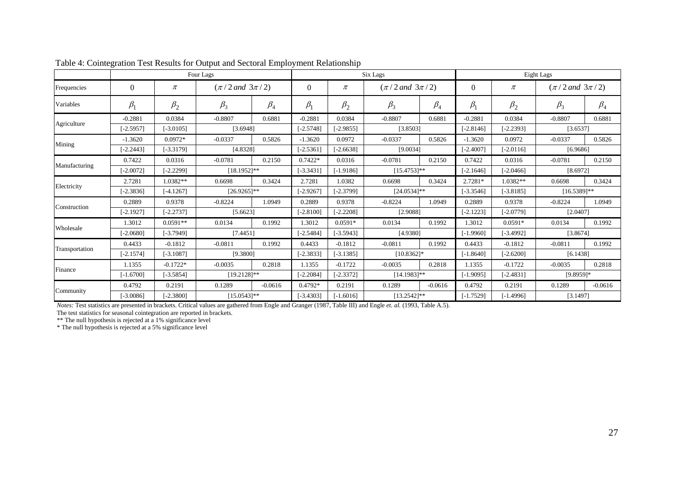|                |             |             | Four Lags              |           |             | Six Lags    |                |                        |             | Eight Lags  |                        |           |  |
|----------------|-------------|-------------|------------------------|-----------|-------------|-------------|----------------|------------------------|-------------|-------------|------------------------|-----------|--|
| Frequencies    | $\Omega$    | $\pi$       | $(\pi/2$ and $3\pi/2)$ |           | $\Omega$    | $\pi$       |                | $(\pi/2$ and $3\pi/2)$ |             | $\pi$       | $(\pi/2$ and $3\pi/2)$ |           |  |
| Variables      | $\beta_1$   | $\beta_2$   | $\beta_3$              | $\beta_4$ | $\beta_1$   | $\beta_2$   | $\beta_3$      | $\beta_4$              | $\beta_1$   | $\beta_2$   | $\beta_3$              | $\beta_4$ |  |
|                | $-0.2881$   | 0.0384      | $-0.8807$              | 0.6881    | $-0.2881$   | 0.0384      | $-0.8807$      | 0.6881                 | $-0.2881$   | 0.0384      | $-0.8807$              | 0.6881    |  |
| Agriculture    | $[-2.5957]$ | $[-3.0105]$ | [3.6948]               |           | $[-2.5748]$ | $[-2.9855]$ |                | [3.8503]               |             | $[-2.2393]$ | [3.6537]               |           |  |
|                | $-1.3620$   | $0.0972*$   | $-0.0337$              | 0.5826    | $-1.3620$   | 0.0972      | $-0.0337$      | 0.5826                 | $-1.3620$   | 0.0972      | $-0.0337$              | 0.5826    |  |
| Mining         | $[-2.2443]$ | $[-3.3179]$ | [4.8328]               |           | $[-2.5361]$ | $[-2.6638]$ | [9.0034]       |                        | $[-2.4007]$ | $[-2.0116]$ | [6.9686]               |           |  |
|                | 0.7422      | 0.0316      | $-0.0781$              | 0.2150    | $0.7422*$   | 0.0316      | $-0.0781$      | 0.2150                 | 0.7422      | 0.0316      | $-0.0781$              | 0.2150    |  |
| Manufacturing  | $[-2.0072]$ | $-2.22991$  | $[18.1952]$ **         |           | $[-3.3431]$ | $[-1.9186]$ |                | $[15.4753]$ **         |             | $[-2.0466]$ | [8.6972]               |           |  |
|                | 2.7281      | 1.0382**    | 0.6698                 | 0.3424    | 2.7281      | 1.0382      | 0.6698         | 0.3424                 | $2.7281*$   | 1.0382**    | 0.6698                 | 0.3424    |  |
| Electricity    | $[-2.3836]$ | $[-4.1267]$ | $[26.9265]$ **         |           | $[-2.9267]$ | $[-2.3799]$ | $[24.0534]$ ** |                        | $[-3.3546]$ | $[-3.8185]$ | $[16.5389]$ **         |           |  |
|                | 0.2889      | 0.9378      | $-0.8224$              | 1.0949    | 0.2889      | 0.9378      | $-0.8224$      | 1.0949                 | 0.2889      | 0.9378      | $-0.8224$              | 1.0949    |  |
| Construction   | $[-2.1927]$ | $[-2.2737]$ | [5.6623]               |           | $[-2.8100]$ | $[-2.2208]$ | [2.9088]       |                        | $[-2.1223]$ | $[-2.0779]$ | [2.0407]               |           |  |
|                | 1.3012      | $0.0591**$  | 0.0134                 | 0.1992    | 1.3012      | $0.0591*$   | 0.0134         | 0.1992                 | 1.3012      | $0.0591*$   | 0.0134                 | 0.1992    |  |
| Wholesale      | $[-2.0680]$ | $[-3.7949]$ | [7.4451]               |           | $[-2.5484]$ | $[-3.5943]$ | [4.9380]       |                        | $[-1.9960]$ | $[-3.4992]$ | [3.8674]               |           |  |
|                | 0.4433      | $-0.1812$   | $-0.0811$              | 0.1992    | 0.4433      | $-0.1812$   | $-0.0811$      | 0.1992                 | 0.4433      | $-0.1812$   | $-0.0811$              | 0.1992    |  |
| Transportation | $[-2.1574]$ | $[-3.1087]$ | [9.3800]               |           | $[-2.3833]$ | $[-3.1385]$ | $[10.8362]$ *  |                        | $[-1.8640]$ | $[-2.6200]$ | [6.1438]               |           |  |
|                | 1.1355      | $-0.1722*$  | $-0.0035$              | 0.2818    | 1.1355      | $-0.1722$   | $-0.0035$      | 0.2818                 | 1.1355      | $-0.1722$   | $-0.0035$              | 0.2818    |  |
| Finance        | $[-1.6700]$ | $[-3.5854]$ | $[19.2128]$ **         |           | $[-2.2084]$ | $[-2.3372]$ | $[14.1983]$ ** |                        | $[-1.9095]$ | $[-2.4831]$ | $[9.8959]$ *           |           |  |
|                | 0.4792      | 0.2191      | 0.1289                 | $-0.0616$ | $0.4792*$   | 0.2191      | 0.1289         | $-0.0616$              | 0.4792      | 0.2191      | 0.1289                 | $-0.0616$ |  |
| Community      | $[-3.0086]$ | $-2.38001$  | $[15.0543]$ **         |           | $[-3.4303]$ | $[-1.6016]$ | $[13.2542]$ ** |                        | $[-1.7529]$ | $[-1.4996]$ | [3.1497]               |           |  |

*Notes:* Test statistics are presented in brackets. Critical values are gathered from Engle and Granger (1987, Table III) and Engle *et. al.* (1993, Table A.5).

The test statistics for seasonal cointegration are reported in brackets.

\*\* The null hypothesis is rejected at a 1% significance level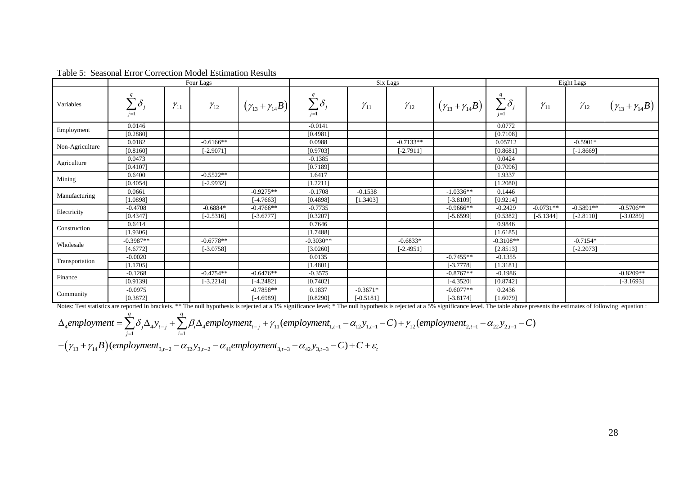|                 |                        |               | Four Lags     |                                | Six Lags                 |               |               |                                | Eight Lags               |               |               |                                |
|-----------------|------------------------|---------------|---------------|--------------------------------|--------------------------|---------------|---------------|--------------------------------|--------------------------|---------------|---------------|--------------------------------|
| Variables       | $\sum \delta$<br>$i=1$ | $\gamma_{11}$ | $\gamma_{12}$ | $(\gamma_{13} + \gamma_{14}B)$ | $\sum \delta_j$<br>$j=1$ | $\gamma_{11}$ | $\gamma_{12}$ | $(\gamma_{13} + \gamma_{14}B)$ | $\sum \delta_j$<br>$i=1$ | $\gamma_{11}$ | $\gamma_{12}$ | $(\gamma_{13} + \gamma_{14}B)$ |
| Employment      | 0.0146                 |               |               |                                | $-0.0141$                |               |               |                                | 0.0772                   |               |               |                                |
|                 | [0.2880]               |               |               |                                | [0.4981]                 |               |               |                                | [0.7108]                 |               |               |                                |
| Non-Agriculture | 0.0182                 |               | $-0.6166**$   |                                | 0.0988                   |               | $-0.7133**$   |                                | 0.05712                  |               | $-0.5901*$    |                                |
|                 | [0.8160]               |               | $[-2.9071]$   |                                | [0.9703]                 |               | $[-2.7911]$   |                                | [0.8681]                 |               | $[-1.8669]$   |                                |
| Agriculture     | 0.0473                 |               |               |                                | $-0.1385$                |               |               |                                | 0.0424                   |               |               |                                |
|                 | [0.4107]               |               |               |                                | [0.7189]                 |               |               |                                | [0.7096]                 |               |               |                                |
| Mining          | 0.6400                 |               | $-0.5522**$   |                                | 1.6417                   |               |               |                                | 1.9337                   |               |               |                                |
|                 | [0.4054]               |               | $[-2.9932]$   |                                | [1.2211]                 |               |               |                                | $1.2080$ ]               |               |               |                                |
|                 | 0.0661                 |               |               | $-0.9275**$                    | $-0.1708$                | $-0.1538$     |               | $-1.0336**$                    | 0.1446                   |               |               |                                |
| Manufacturing   | [1.0898]               |               |               | $[-4.7663]$                    | [0.4898]                 | [1.3403]      |               | $[-3.8109]$                    | [0.9214]                 |               |               |                                |
|                 | $-0.4708$              |               | $-0.6884*$    | $-0.4766**$                    | $-0.7735$                |               |               | $-0.9666$ **                   | $-0.2429$                | $-0.0731**$   | $-0.5891**$   | $-0.5706**$                    |
| Electricity     | [0.4347]               |               | $[-2.5316]$   | $[-3.6777]$                    | [0.3207]                 |               |               | $[-5.6599]$                    | [0.5382]                 | $[-5.1344]$   | $[-2.8110]$   | $-3.0289$ ]                    |
|                 | 0.6414                 |               |               |                                | 0.7646                   |               |               |                                | 0.9846                   |               |               |                                |
| Construction    | [1.9306]               |               |               |                                | [1.7488]                 |               |               |                                | [1.6185]                 |               |               |                                |
|                 | $-0.3987**$            |               | $-0.6778**$   |                                | $-0.3030**$              |               | $-0.6833*$    |                                | $-0.3108**$              |               | $-0.7154*$    |                                |
| Wholesale       | [4.6772]               |               | $[-3.0758]$   |                                | [3.0260]                 |               | $[-2.4951]$   |                                | [2.8513]                 |               | $[-2.2073]$   |                                |
|                 | $-0.0020$              |               |               |                                | 0.0135                   |               |               | $-0.7455**$                    | $-0.1355$                |               |               |                                |
| Transportation  | [1.1705]               |               |               |                                | [1.4801]                 |               |               | $[-3.7778]$                    | [1.3181]                 |               |               |                                |
|                 | $-0.1268$              |               | $-0.4754**$   | $-0.6476**$                    | $-0.3575$                |               |               | $-0.8767**$                    | $-0.1986$                |               |               | $-0.8209**$                    |
| Finance         | [0.9139]               |               | $[-3.2214]$   | $[-4.2482]$                    | [0.7402]                 |               |               | $[-4.3520]$                    | [0.8742]                 |               |               | $[-3.1693]$                    |
|                 | $-0.0975$              |               |               | $-0.7858**$                    | 0.1837                   | $-0.3671*$    |               | $-0.6077**$                    | 0.2436                   |               |               |                                |
| Community       | [0.3872]               |               |               | $[-4.6989]$                    | [0.8290]                 | $[-0.5181]$   |               | $[-3.8174]$                    | [1.6079]                 |               |               |                                |

Table 5: Seasonal Error Correction Model Estimation Results

Notes: Test statistics are reported in brackets. \*\* The null hypothesis is rejected at a 1% significance level; \* The null hypothesis is rejected at a 5% significance level. The table above presents the estimates of follow

$$
\Delta_4 \text{ employment} = \sum_{j=1}^q \delta_j \Delta_4 y_{t-j} + \sum_{i=1}^q \beta_i \Delta_4 \text{ employment}_{t-j} + \gamma_{11}(\text{ employment}_{1,t-1} - \alpha_{12} y_{1,t-1} - C) + \gamma_{12}(\text{ employment}_{2,t-1} - \alpha_{22} y_{2,t-1} - C) + \gamma_{13}(\text{ employment}_{2,t-1} - \alpha_{22} y_{2,t-1} - C) + \gamma_{14}(\text{compound} + \gamma_{15})
$$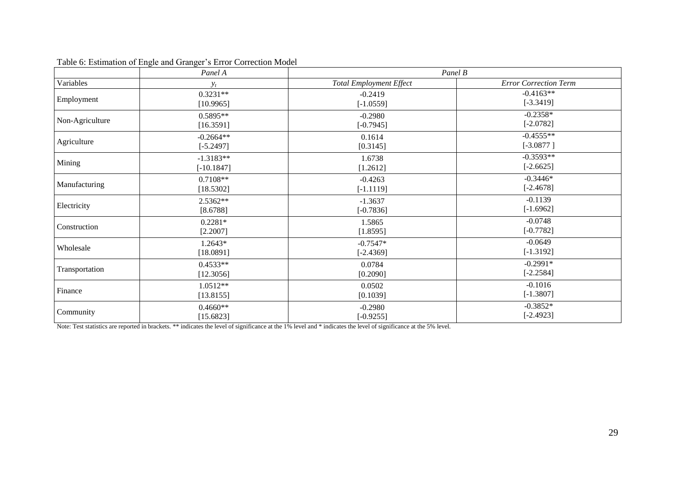|                 | Panel A      | Panel B                        |                              |  |  |  |  |
|-----------------|--------------|--------------------------------|------------------------------|--|--|--|--|
| Variables       | $y_t$        | <b>Total Employment Effect</b> | <b>Error Correction Term</b> |  |  |  |  |
| Employment      | $0.3231**$   | $-0.2419$                      | $-0.4163**$                  |  |  |  |  |
|                 | [10.9965]    | $[-1.0559]$                    | $[-3.3419]$                  |  |  |  |  |
| Non-Agriculture | $0.5895**$   | $-0.2980$                      | $-0.2358*$                   |  |  |  |  |
|                 | [16.3591]    | $[-0.7945]$                    | $[-2.0782]$                  |  |  |  |  |
| Agriculture     | $-0.2664**$  | 0.1614                         | $-0.4555**$                  |  |  |  |  |
|                 | $[-5.2497]$  | [0.3145]                       | $[-3.0877]$                  |  |  |  |  |
| Mining          | $-1.3183**$  | 1.6738                         | $-0.3593**$                  |  |  |  |  |
|                 | $[-10.1847]$ | [1.2612]                       | $[-2.6625]$                  |  |  |  |  |
| Manufacturing   | $0.7108**$   | $-0.4263$                      | $-0.3446*$                   |  |  |  |  |
|                 | [18.5302]    | $[-1.1119]$                    | $[-2.4678]$                  |  |  |  |  |
| Electricity     | $2.5362**$   | $-1.3637$                      | $-0.1139$                    |  |  |  |  |
|                 | [8.6788]     | $[-0.7836]$                    | $[-1.6962]$                  |  |  |  |  |
| Construction    | $0.2281*$    | 1.5865                         | $-0.0748$                    |  |  |  |  |
|                 | [2.2007]     | [1.8595]                       | $[-0.7782]$                  |  |  |  |  |
| Wholesale       | 1.2643*      | $-0.7547*$                     | $-0.0649$                    |  |  |  |  |
|                 | [18.0891]    | $[-2.4369]$                    | $[-1.3192]$                  |  |  |  |  |
| Transportation  | $0.4533**$   | 0.0784                         | $-0.2991*$                   |  |  |  |  |
|                 | [12.3056]    | [0.2090]                       | $[-2.2584]$                  |  |  |  |  |
| Finance         | $1.0512**$   | 0.0502                         | $-0.1016$                    |  |  |  |  |
|                 | [13.8155]    | [0.1039]                       | $[-1.3807]$                  |  |  |  |  |
| Community       | $0.4660**$   | $-0.2980$                      | $-0.3852*$                   |  |  |  |  |
|                 | [15.6823]    | $[-0.9255]$                    | $[-2.4923]$                  |  |  |  |  |

# Table 6: Estimation of Engle and Granger's Error Correction Model

Note: Test statistics are reported in brackets. \*\* indicates the level of significance at the 1% level and \* indicates the level of significance at the 5% level.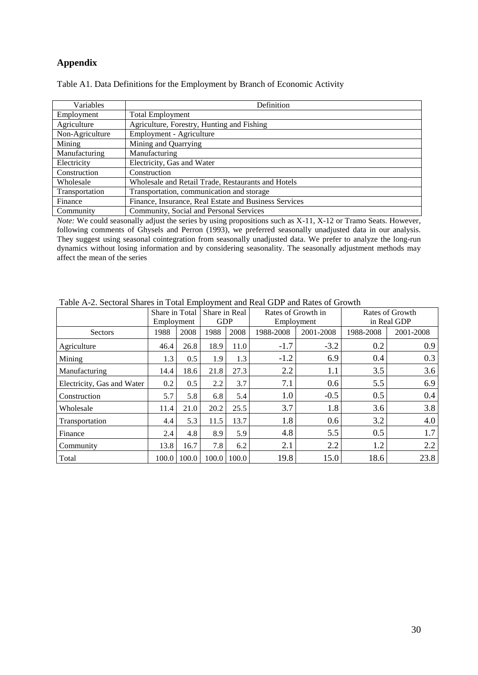# **Appendix**

| Variables       | Definition                                            |
|-----------------|-------------------------------------------------------|
| Employment      | <b>Total Employment</b>                               |
| Agriculture     | Agriculture, Forestry, Hunting and Fishing            |
| Non-Agriculture | Employment - Agriculture                              |
| Mining          | Mining and Quarrying                                  |
| Manufacturing   | Manufacturing                                         |
| Electricity     | Electricity, Gas and Water                            |
| Construction    | Construction                                          |
| Wholesale       | Wholesale and Retail Trade, Restaurants and Hotels    |
| Transportation  | Transportation, communication and storage             |
| Finance         | Finance, Insurance, Real Estate and Business Services |
| Community       | Community, Social and Personal Services               |

Table A1. Data Definitions for the Employment by Branch of Economic Activity

*Note:* We could seasonally adjust the series by using propositions such as X-11, X-12 or Tramo Seats. However, following comments of Ghysels and Perron (1993), we preferred seasonally unadjusted data in our analysis. They suggest using seasonal cointegration from seasonally unadjusted data. We prefer to analyze the long-run dynamics without losing information and by considering seasonality. The seasonally adjustment methods may affect the mean of the series

|                            | Share in Total |                 | Share in Real<br>Rates of Growth in |             |            |           | Rates of Growth |           |  |
|----------------------------|----------------|-----------------|-------------------------------------|-------------|------------|-----------|-----------------|-----------|--|
|                            | Employment     |                 | <b>GDP</b>                          |             | Employment |           | in Real GDP     |           |  |
| <b>Sectors</b>             | 1988           | 2008            | 1988                                | 2008        | 1988-2008  | 2001-2008 | 1988-2008       | 2001-2008 |  |
| Agriculture                | 46.4           | 26.8            | 18.9                                | 11.0        | $-1.7$     | $-3.2$    | 0.2             | 0.9       |  |
| Mining                     | 1.3            | 0.5             | 1.9                                 | 1.3         | $-1.2$     | 6.9       | 0.4             | 0.3       |  |
| Manufacturing              | 14.4           | 18.6            | 21.8                                | 27.3        | 2.2        | 1.1       | 3.5             | 3.6       |  |
| Electricity, Gas and Water | 0.2            | 0.5             | 2.2                                 | 3.7         | 7.1        | 0.6       | 5.5             | 6.9       |  |
| Construction               | 5.7            | 5.8             | 6.8                                 | 5.4         | 1.0        | $-0.5$    | 0.5             | 0.4       |  |
| Wholesale                  | 11.4           | 21.0            | 20.2                                | 25.5        | 3.7        | 1.8       | 3.6             | 3.8       |  |
| Transportation             | 4.4            | 5.3             | 11.5                                | 13.7        | 1.8        | 0.6       | 3.2             | 4.0       |  |
| Finance                    | 2.4            | 4.8             | 8.9                                 | 5.9         | 4.8        | 5.5       | 0.5             | 1.7       |  |
| Community                  | 13.8           | 16.7            | 7.8                                 | 6.2         | 2.1        | 2.2       | 1.2             | 2.2       |  |
| Total                      |                | $100.0$   100.0 |                                     | 100.0 100.0 | 19.8       | 15.0      | 18.6            | 23.8      |  |

Table A-2. Sectoral Shares in Total Employment and Real GDP and Rates of Growth